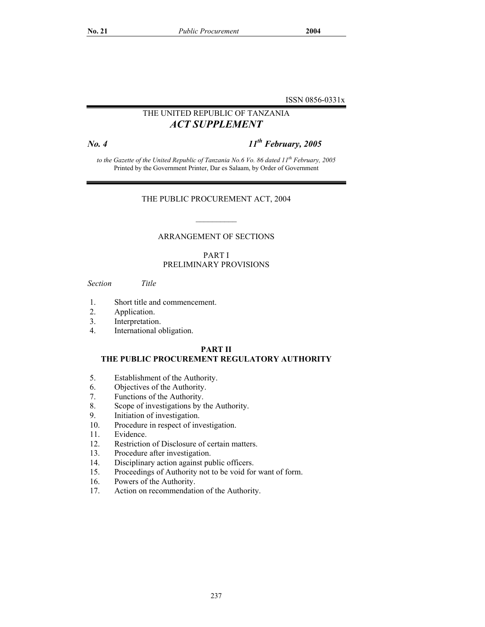ISSN 0856-0331x

## THE UNITED REPUBLIC OF TANZANIA *ACT SUPPLEMENT*

*No. 4 11th February, 2005* 

*to the Gazette of the United Republic of Tanzania No.6 Vo. 86 dated 11th February, 2005*  Printed by the Government Printer, Dar es Salaam, by Order of Government

#### THE PUBLIC PROCUREMENT ACT, 2004

#### ARRANGEMENT OF SECTIONS

 $\mathcal{L}=\mathcal{L}$ 

#### PART I PRELIMINARY PROVISIONS

*Section Title* 

- 1. Short title and commencement.
- 2. Application.
- 3. Interpretation.
- 4. International obligation.

#### **PART II**

## **THE PUBLIC PROCUREMENT REGULATORY AUTHORITY**

- 5. Establishment of the Authority.
- 6. Objectives of the Authority.
- 7. Functions of the Authority.
- 8. Scope of investigations by the Authority.<br>9. Initiation of investigation.
- Initiation of investigation.
- 10. Procedure in respect of investigation.
- 11. Evidence.
- 12. Restriction of Disclosure of certain matters.
- 13. Procedure after investigation.
- 14. Disciplinary action against public officers.
- 15. Proceedings of Authority not to be void for want of form.
- 16. Powers of the Authority.
- 17. Action on recommendation of the Authority.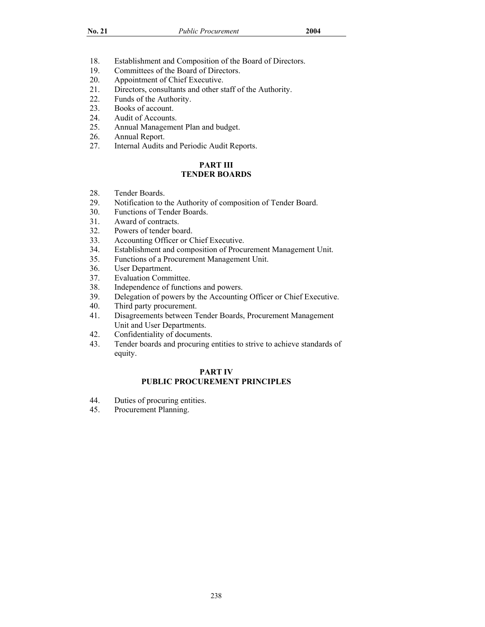- 18. Establishment and Composition of the Board of Directors.
- 19. Committees of the Board of Directors.
- 20. Appointment of Chief Executive.
- 21. Directors, consultants and other staff of the Authority.
- 22. Funds of the Authority.
- 23. Books of account.
- 24. Audit of Accounts.
- 25. Annual Management Plan and budget.
- 26. Annual Report.<br>27. Internal Audits
- Internal Audits and Periodic Audit Reports.

## **PART III TENDER BOARDS**

- 28. Tender Boards.
- 29. Notification to the Authority of composition of Tender Board.
- 30. Functions of Tender Boards.
- 31. Award of contracts.<br>32. Powers of tender bo
- Powers of tender board.
- 33. Accounting Officer or Chief Executive.
- 34. Establishment and composition of Procurement Management Unit.
- 35. Functions of a Procurement Management Unit.
- 36. User Department.
- 37. Evaluation Committee.
- 38. Independence of functions and powers.<br>39. Delegation of powers by the Accounting
- Delegation of powers by the Accounting Officer or Chief Executive.
- 40. Third party procurement.
- 41. Disagreements between Tender Boards, Procurement Management Unit and User Departments.
- 42. Confidentiality of documents.
- 43. Tender boards and procuring entities to strive to achieve standards of equity.

#### **PART IV PUBLIC PROCUREMENT PRINCIPLES**

- 44. Duties of procuring entities.
- 45. Procurement Planning.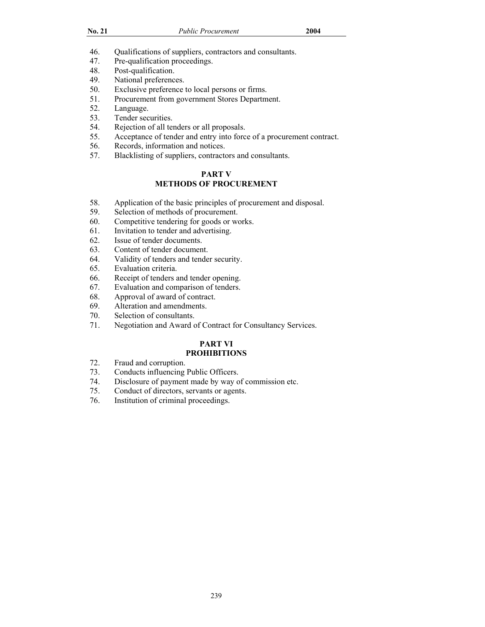| ٦<br>۰.<br>× |  |
|--------------|--|
|              |  |

- 46. Qualifications of suppliers, contractors and consultants.
- 47. Pre-qualification proceedings.
- 48. Post-qualification.
- 49. National preferences.
- 50. Exclusive preference to local persons or firms.
- 51. Procurement from government Stores Department.
- 52. Language.
- 53. Tender securities.
- 54. Rejection of all tenders or all proposals.
- 55. Acceptance of tender and entry into force of a procurement contract.
- 56. Records, information and notices.
- 57. Blacklisting of suppliers, contractors and consultants.

#### **PART V METHODS OF PROCUREMENT**

- 58. Application of the basic principles of procurement and disposal.
- 59. Selection of methods of procurement.<br>60. Competitive tendering for goods or word
- Competitive tendering for goods or works.
- 61. Invitation to tender and advertising.
- 62. Issue of tender documents.
- 63. Content of tender document.
- 64. Validity of tenders and tender security.
- 65. Evaluation criteria.
- 66. Receipt of tenders and tender opening.
- 67. Evaluation and comparison of tenders.
- 68. Approval of award of contract.
- 69. Alteration and amendments.
- 70. Selection of consultants.
- 71. Negotiation and Award of Contract for Consultancy Services.

## **PART VI**

#### **PROHIBITIONS**

- 72. Fraud and corruption.
- 73. Conducts influencing Public Officers.
- 74. Disclosure of payment made by way of commission etc.
- 75. Conduct of directors, servants or agents.
- 76. Institution of criminal proceedings.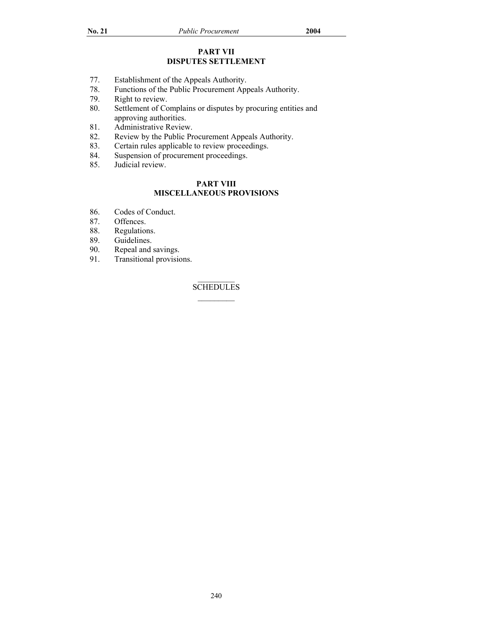## **PART VII DISPUTES SETTLEMENT**

- 77. Establishment of the Appeals Authority.<br>78. Functions of the Public Procurement App
- Functions of the Public Procurement Appeals Authority.
- 79. Right to review.
- 80. Settlement of Complains or disputes by procuring entities and approving authorities.
- 81. Administrative Review.
- 82. Review by the Public Procurement Appeals Authority.<br>83. Certain rules applicable to review proceedings.
- Certain rules applicable to review proceedings.
- 84. Suspension of procurement proceedings.<br>85. Judicial review.
- Judicial review.

## **PART VIII MISCELLANEOUS PROVISIONS**

- 86. Codes of Conduct.<br>87. Offences.
- 87. Offences.<br>88. Regulation
- Regulations.
- 89. Guidelines.
- 90. Repeal and savings.<br>91. Transitional provision
- Transitional provisions.

## **SCHEDULES**  $\mathcal{L}=\mathcal{L}$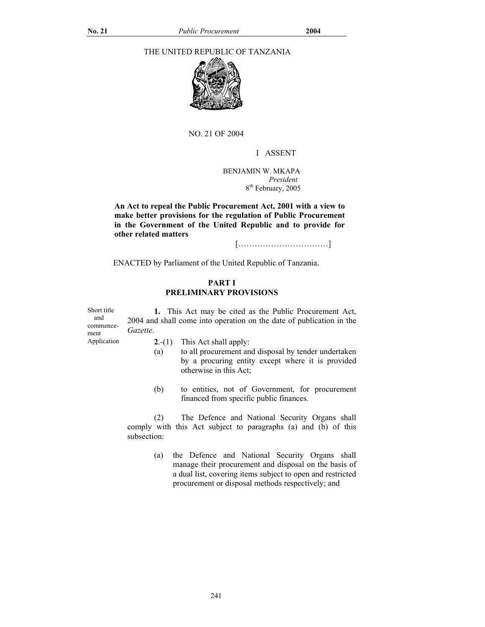## THE UNITED REPUBLIC OF TANZANIA



NO. 21 OF 2004

## I ASSENT

 BENJAMIN W. MKAPA *President*   $8<sup>th</sup>$  February, 2005

**An Act to repeal the Public Procurement Act, 2001 with a view to make better provisions for the regulation of Public Procurement in the Government of the United Republic and to provide for other related matters** 

[……………………………]

ENACTED by Parliament of the United Republic of Tanzania.

#### **PART I PRELIMINARY PROVISIONS**

| Short title<br>and<br>commence-<br>ment | Gazette.       | 1. This Act may be cited as the Public Procurement Act,<br>2004 and shall come into operation on the date of publication in the                              |
|-----------------------------------------|----------------|--------------------------------------------------------------------------------------------------------------------------------------------------------------|
| Application                             | $2-(1)$<br>(a) | This Act shall apply:<br>to all procurement and disposal by tender undertaken<br>by a procuring entity except where it is provided<br>otherwise in this Act; |

(b) to entities, not of Government, for procurement financed from specific public finances.

 (2) The Defence and National Security Organs shall comply with this Act subject to paragraphs (a) and (b) of this subsection:

> (a) the Defence and National Security Organs shall manage their procurement and disposal on the basis of a dual list, covering items subject to open and restricted procurement or disposal methods respectively; and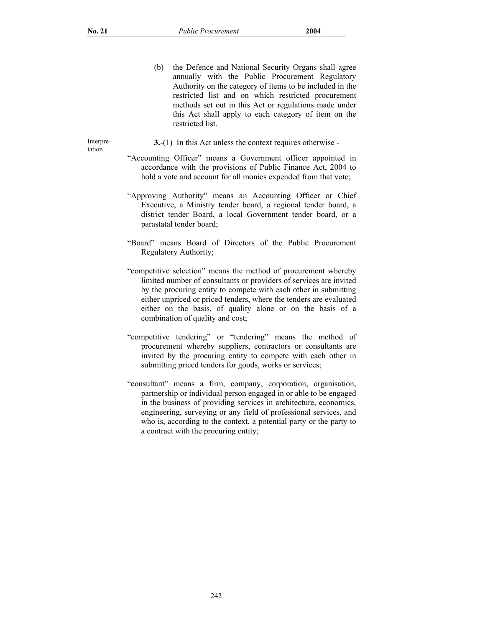(b) the Defence and National Security Organs shall agree annually with the Public Procurement Regulatory Authority on the category of items to be included in the restricted list and on which restricted procurement methods set out in this Act or regulations made under this Act shall apply to each category of item on the restricted list.

Interpretation

- **3.**-(1) In this Act unless the context requires otherwise -
- "Accounting Officer" means a Government officer appointed in accordance with the provisions of Public Finance Act, 2004 to hold a vote and account for all monies expended from that vote;
- "Approving Authority" means an Accounting Officer or Chief Executive, a Ministry tender board, a regional tender board, a district tender Board, a local Government tender board, or a parastatal tender board;
- "Board" means Board of Directors of the Public Procurement Regulatory Authority;
- "competitive selection" means the method of procurement whereby limited number of consultants or providers of services are invited by the procuring entity to compete with each other in submitting either unpriced or priced tenders, where the tenders are evaluated either on the basis, of quality alone or on the basis of a combination of quality and cost;
- "competitive tendering" or "tendering" means the method of procurement whereby suppliers, contractors or consultants are invited by the procuring entity to compete with each other in submitting priced tenders for goods, works or services;
- "consultant" means a firm, company, corporation, organisation, partnership or individual person engaged in or able to be engaged in the business of providing services in architecture, economics, engineering, surveying or any field of professional services, and who is, according to the context, a potential party or the party to a contract with the procuring entity;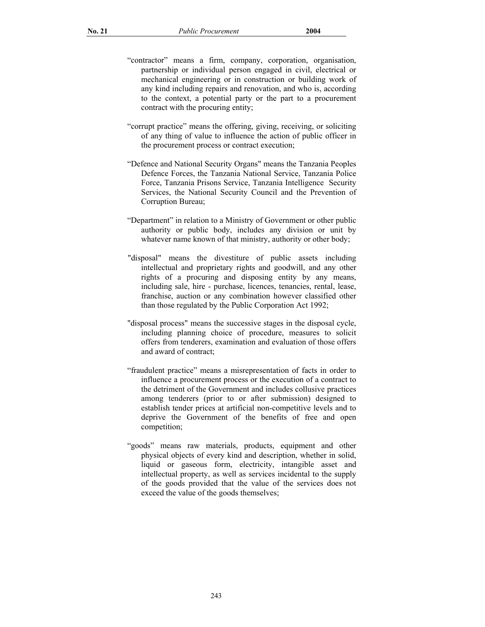- "contractor" means a firm, company, corporation, organisation, partnership or individual person engaged in civil, electrical or mechanical engineering or in construction or building work of any kind including repairs and renovation, and who is, according to the context, a potential party or the part to a procurement contract with the procuring entity;
- "corrupt practice" means the offering, giving, receiving, or soliciting of any thing of value to influence the action of public officer in the procurement process or contract execution;
- "Defence and National Security Organs" means the Tanzania Peoples Defence Forces, the Tanzania National Service, Tanzania Police Force, Tanzania Prisons Service, Tanzania Intelligence Security Services, the National Security Council and the Prevention of Corruption Bureau;
- "Department" in relation to a Ministry of Government or other public authority or public body, includes any division or unit by whatever name known of that ministry, authority or other body;
- "disposal" means the divestiture of public assets including intellectual and proprietary rights and goodwill, and any other rights of a procuring and disposing entity by any means, including sale, hire - purchase, licences, tenancies, rental, lease, franchise, auction or any combination however classified other than those regulated by the Public Corporation Act 1992;
- "disposal process" means the successive stages in the disposal cycle, including planning choice of procedure, measures to solicit offers from tenderers, examination and evaluation of those offers and award of contract;
- "fraudulent practice" means a misrepresentation of facts in order to influence a procurement process or the execution of a contract to the detriment of the Government and includes collusive practices among tenderers (prior to or after submission) designed to establish tender prices at artificial non-competitive levels and to deprive the Government of the benefits of free and open competition;
- "goods" means raw materials, products, equipment and other physical objects of every kind and description, whether in solid, liquid or gaseous form, electricity, intangible asset and intellectual property, as well as services incidental to the supply of the goods provided that the value of the services does not exceed the value of the goods themselves;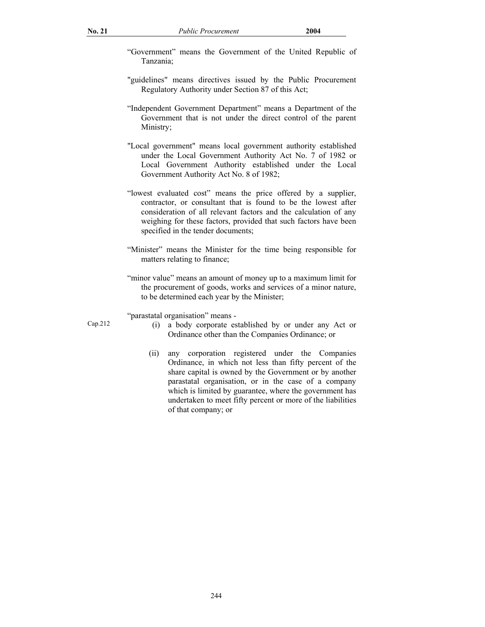- "Government" means the Government of the United Republic of Tanzania;
- "guidelines" means directives issued by the Public Procurement Regulatory Authority under Section 87 of this Act;
- "Independent Government Department" means a Department of the Government that is not under the direct control of the parent Ministry;
- "Local government" means local government authority established under the Local Government Authority Act No. 7 of 1982 or Local Government Authority established under the Local Government Authority Act No. 8 of 1982;
- "lowest evaluated cost" means the price offered by a supplier, contractor, or consultant that is found to be the lowest after consideration of all relevant factors and the calculation of any weighing for these factors, provided that such factors have been specified in the tender documents;
- "Minister" means the Minister for the time being responsible for matters relating to finance;
- "minor value" means an amount of money up to a maximum limit for the procurement of goods, works and services of a minor nature, to be determined each year by the Minister;

"parastatal organisation" means -

- Cap.212 (i) a body corporate established by or under any Act or Ordinance other than the Companies Ordinance; or
	- (ii) any corporation registered under the Companies Ordinance, in which not less than fifty percent of the share capital is owned by the Government or by another parastatal organisation, or in the case of a company which is limited by guarantee, where the government has undertaken to meet fifty percent or more of the liabilities of that company; or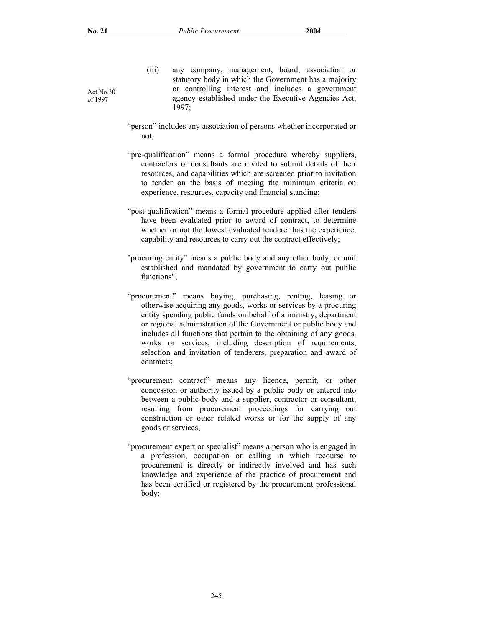Act No.30 of 1997

- (iii) any company, management, board, association or statutory body in which the Government has a majority or controlling interest and includes a government agency established under the Executive Agencies Act, 1997;
- "person" includes any association of persons whether incorporated or not;
- "pre-qualification" means a formal procedure whereby suppliers, contractors or consultants are invited to submit details of their resources, and capabilities which are screened prior to invitation to tender on the basis of meeting the minimum criteria on experience, resources, capacity and financial standing;
- "post-qualification" means a formal procedure applied after tenders have been evaluated prior to award of contract, to determine whether or not the lowest evaluated tenderer has the experience, capability and resources to carry out the contract effectively;
- "procuring entity" means a public body and any other body, or unit established and mandated by government to carry out public functions";
- "procurement" means buying, purchasing, renting, leasing or otherwise acquiring any goods, works or services by a procuring entity spending public funds on behalf of a ministry, department or regional administration of the Government or public body and includes all functions that pertain to the obtaining of any goods, works or services, including description of requirements, selection and invitation of tenderers, preparation and award of contracts;
- "procurement contract" means any licence, permit, or other concession or authority issued by a public body or entered into between a public body and a supplier, contractor or consultant, resulting from procurement proceedings for carrying out construction or other related works or for the supply of any goods or services;
- "procurement expert or specialist" means a person who is engaged in a profession, occupation or calling in which recourse to procurement is directly or indirectly involved and has such knowledge and experience of the practice of procurement and has been certified or registered by the procurement professional body;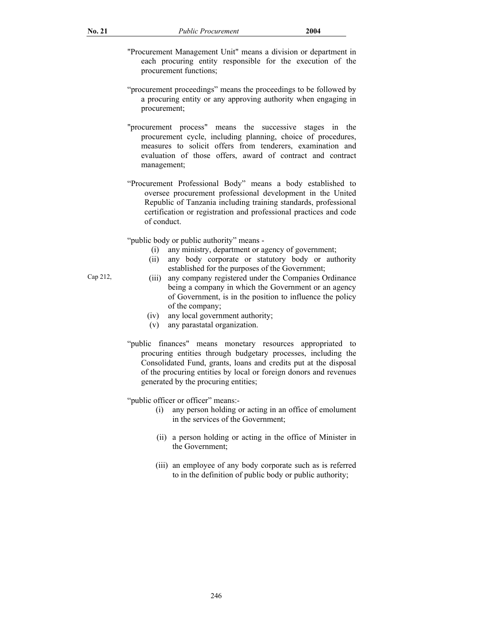- "Procurement Management Unit" means a division or department in each procuring entity responsible for the execution of the procurement functions;
- "procurement proceedings" means the proceedings to be followed by a procuring entity or any approving authority when engaging in procurement;
- "procurement process" means the successive stages in the procurement cycle, including planning, choice of procedures, measures to solicit offers from tenderers, examination and evaluation of those offers, award of contract and contract management;
- "Procurement Professional Body" means a body established to oversee procurement professional development in the United Republic of Tanzania including training standards, professional certification or registration and professional practices and code of conduct.

"public body or public authority" means -

- (i) any ministry, department or agency of government;
- (ii) any body corporate or statutory body or authority established for the purposes of the Government;
- Cap 212, (iii) any company registered under the Companies Ordinance being a company in which the Government or an agency of Government, is in the position to influence the policy of the company;
	- (iv) any local government authority;
	- (v) any parastatal organization.
	- "public finances" means monetary resources appropriated to procuring entities through budgetary processes, including the Consolidated Fund, grants, loans and credits put at the disposal of the procuring entities by local or foreign donors and revenues generated by the procuring entities;

"public officer or officer" means:-

- (i) any person holding or acting in an office of emolument in the services of the Government;
- (ii) a person holding or acting in the office of Minister in the Government;
- (iii) an employee of any body corporate such as is referred to in the definition of public body or public authority;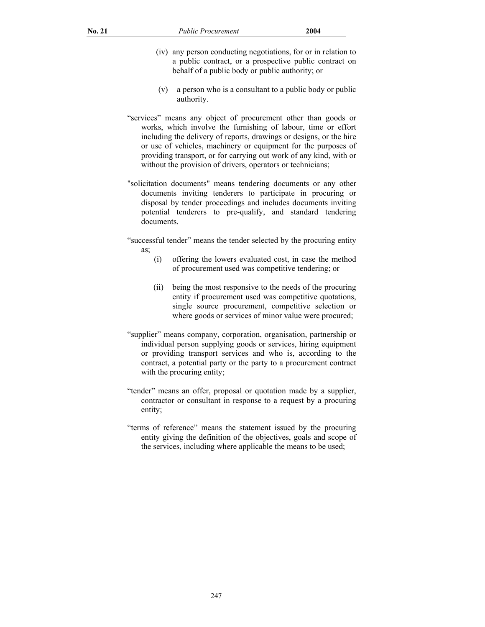- (iv) any person conducting negotiations, for or in relation to a public contract, or a prospective public contract on behalf of a public body or public authority; or
- (v) a person who is a consultant to a public body or public authority.
- "services" means any object of procurement other than goods or works, which involve the furnishing of labour, time or effort including the delivery of reports, drawings or designs, or the hire or use of vehicles, machinery or equipment for the purposes of providing transport, or for carrying out work of any kind, with or without the provision of drivers, operators or technicians;
- "solicitation documents" means tendering documents or any other documents inviting tenderers to participate in procuring or disposal by tender proceedings and includes documents inviting potential tenderers to pre-qualify, and standard tendering documents.
- "successful tender" means the tender selected by the procuring entity as;
	- (i) offering the lowers evaluated cost, in case the method of procurement used was competitive tendering; or
	- (ii) being the most responsive to the needs of the procuring entity if procurement used was competitive quotations, single source procurement, competitive selection or where goods or services of minor value were procured;
- "supplier" means company, corporation, organisation, partnership or individual person supplying goods or services, hiring equipment or providing transport services and who is, according to the contract, a potential party or the party to a procurement contract with the procuring entity;
- "tender" means an offer, proposal or quotation made by a supplier, contractor or consultant in response to a request by a procuring entity;
- "terms of reference" means the statement issued by the procuring entity giving the definition of the objectives, goals and scope of the services, including where applicable the means to be used;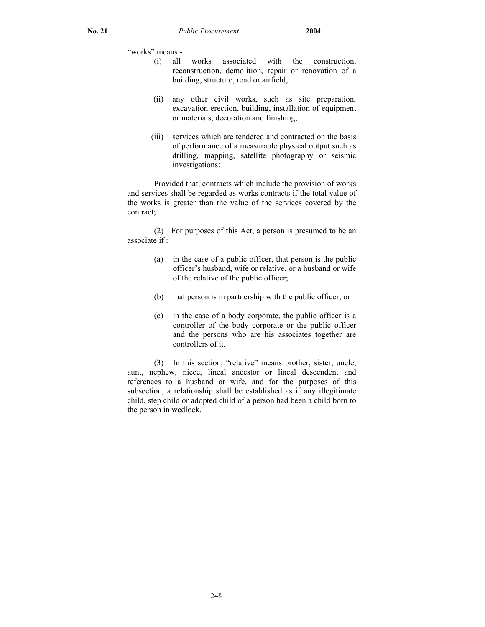"works" means -

- (i) all works associated with the construction, reconstruction, demolition, repair or renovation of a building, structure, road or airfield;
- (ii) any other civil works, such as site preparation, excavation erection, building, installation of equipment or materials, decoration and finishing;
- (iii) services which are tendered and contracted on the basis of performance of a measurable physical output such as drilling, mapping, satellite photography or seismic investigations:

 Provided that, contracts which include the provision of works and services shall be regarded as works contracts if the total value of the works is greater than the value of the services covered by the contract;

 (2) For purposes of this Act, a person is presumed to be an associate if :

- (a) in the case of a public officer, that person is the public officer's husband, wife or relative, or a husband or wife of the relative of the public officer;
- (b) that person is in partnership with the public officer; or
- (c) in the case of a body corporate, the public officer is a controller of the body corporate or the public officer and the persons who are his associates together are controllers of it.

 (3) In this section, "relative" means brother, sister, uncle, aunt, nephew, niece, lineal ancestor or lineal descendent and references to a husband or wife, and for the purposes of this subsection, a relationship shall be established as if any illegitimate child, step child or adopted child of a person had been a child born to the person in wedlock.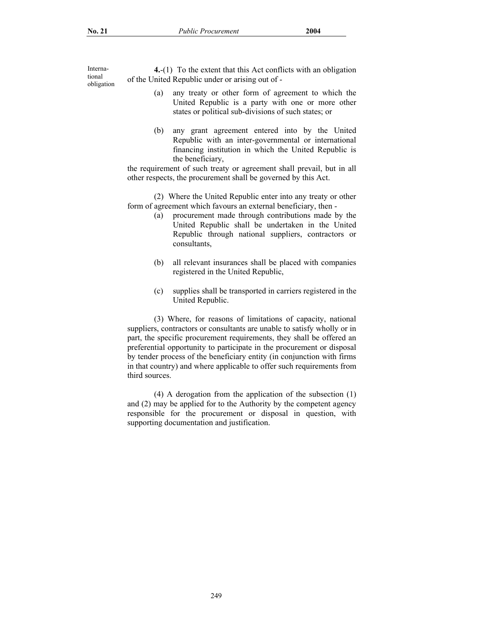International obligation

**4.**-(1) To the extent that this Act conflicts with an obligation of the United Republic under or arising out of -

- (a) any treaty or other form of agreement to which the United Republic is a party with one or more other states or political sub-divisions of such states; or
- (b) any grant agreement entered into by the United Republic with an inter-governmental or international financing institution in which the United Republic is the beneficiary,

the requirement of such treaty or agreement shall prevail, but in all other respects, the procurement shall be governed by this Act.

 (2) Where the United Republic enter into any treaty or other form of agreement which favours an external beneficiary, then -

- (a) procurement made through contributions made by the United Republic shall be undertaken in the United Republic through national suppliers, contractors or consultants,
- (b) all relevant insurances shall be placed with companies registered in the United Republic,
- (c) supplies shall be transported in carriers registered in the United Republic.

 (3) Where, for reasons of limitations of capacity, national suppliers, contractors or consultants are unable to satisfy wholly or in part, the specific procurement requirements, they shall be offered an preferential opportunity to participate in the procurement or disposal by tender process of the beneficiary entity (in conjunction with firms in that country) and where applicable to offer such requirements from third sources.

 (4) A derogation from the application of the subsection (1) and (2) may be applied for to the Authority by the competent agency responsible for the procurement or disposal in question, with supporting documentation and justification.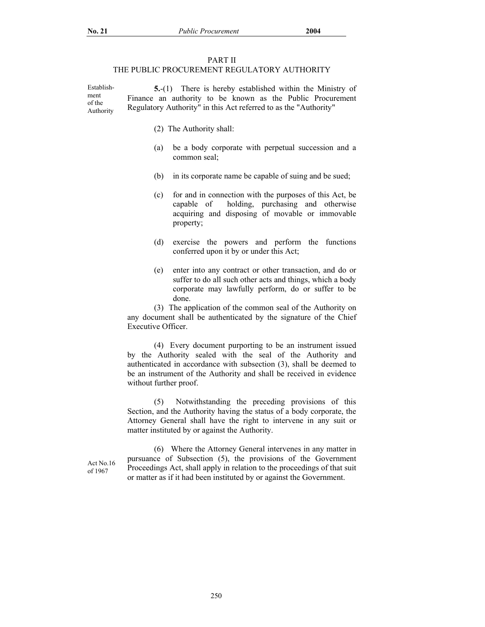#### PART II

## THE PUBLIC PROCUREMENT REGULATORY AUTHORITY

Establishment of the Authority  **5.**-(1) There is hereby established within the Ministry of Finance an authority to be known as the Public Procurement Regulatory Authority" in this Act referred to as the "Authority"

- (2) The Authority shall:
- (a) be a body corporate with perpetual succession and a common seal;
- (b) in its corporate name be capable of suing and be sued;
- (c) for and in connection with the purposes of this Act, be capable of holding, purchasing and otherwise acquiring and disposing of movable or immovable property;
- (d) exercise the powers and perform the functions conferred upon it by or under this Act;
- (e) enter into any contract or other transaction, and do or suffer to do all such other acts and things, which a body corporate may lawfully perform, do or suffer to be done.

 (3) The application of the common seal of the Authority on any document shall be authenticated by the signature of the Chief Executive Officer.

 (4) Every document purporting to be an instrument issued by the Authority sealed with the seal of the Authority and authenticated in accordance with subsection (3), shall be deemed to be an instrument of the Authority and shall be received in evidence without further proof.

 (5) Notwithstanding the preceding provisions of this Section, and the Authority having the status of a body corporate, the Attorney General shall have the right to intervene in any suit or matter instituted by or against the Authority.

Act No.16 of 1967

 (6) Where the Attorney General intervenes in any matter in pursuance of Subsection (5), the provisions of the Government Proceedings Act, shall apply in relation to the proceedings of that suit or matter as if it had been instituted by or against the Government.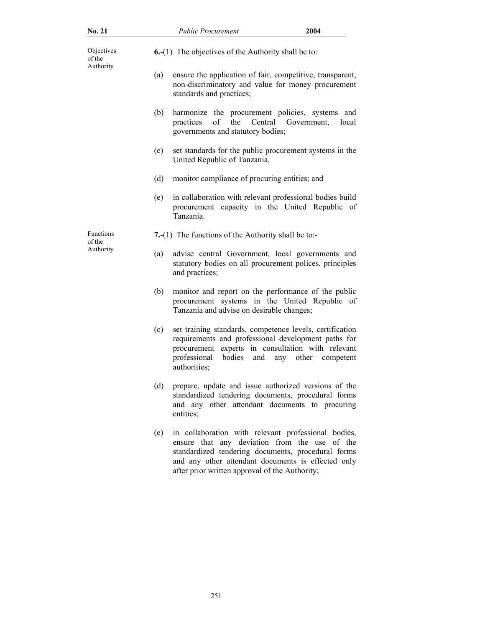| <b>No. 21</b>                     |     | <b>Public Procurement</b>                                                                                                                                                                                             | 2004                        |
|-----------------------------------|-----|-----------------------------------------------------------------------------------------------------------------------------------------------------------------------------------------------------------------------|-----------------------------|
| Objectives<br>of the<br>Authority |     | <b>6.</b> - $(1)$ The objectives of the Authority shall be to:                                                                                                                                                        |                             |
|                                   | (a) | ensure the application of fair, competitive, transparent,<br>non-discriminatory and value for money procurement<br>standards and practices;                                                                           |                             |
|                                   | (b) | harmonize the procurement policies, systems<br>the<br>Central<br>practices<br>of<br>governments and statutory bodies;                                                                                                 | and<br>Government.<br>local |
|                                   | (c) | set standards for the public procurement systems in the<br>United Republic of Tanzania,                                                                                                                               |                             |
|                                   | (d) | monitor compliance of procuring entities; and                                                                                                                                                                         |                             |
|                                   | (e) | in collaboration with relevant professional bodies build<br>procurement capacity in the United Republic of<br>Tanzania.                                                                                               |                             |
| Functions<br>of the               |     | 7.-(1) The functions of the Authority shall be to:-                                                                                                                                                                   |                             |
| Authority                         | (a) | advise central Government, local governments and<br>statutory bodies on all procurement polices, principles<br>and practices;                                                                                         |                             |
|                                   | (b) | monitor and report on the performance of the public<br>procurement systems in the United Republic of<br>Tanzania and advise on desirable changes;                                                                     |                             |
|                                   | (c) | set training standards, competence levels, certification<br>requirements and professional development paths for<br>procurement experts in consultation with relevant<br>professional<br>bodies<br>and<br>authorities; | any<br>other<br>competent   |
|                                   | (d) | prepare, update and issue authorized versions of the<br>standardized tendering documents, procedural forms<br>and any other attendant documents to procuring<br>entities;                                             |                             |

(e) in collaboration with relevant professional bodies, ensure that any deviation from the use of the standardized tendering documents, procedural forms and any other attendant documents is effected only after prior written approval of the Authority;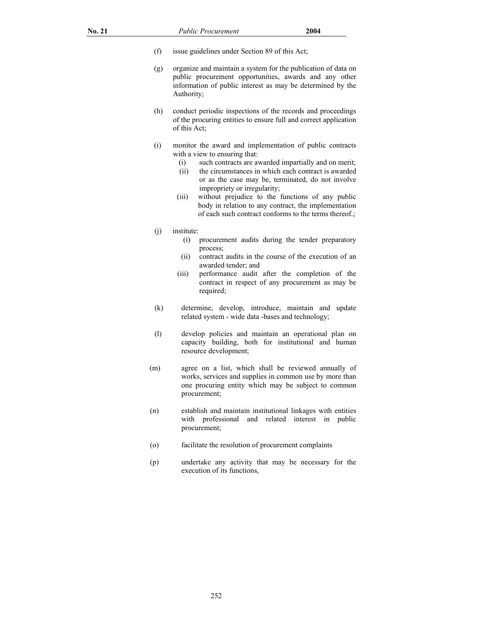- (f) issue guidelines under Section 89 of this Act;
- (g) organize and maintain a system for the publication of data on public procurement opportunities, awards and any other information of public interest as may be determined by the Authority;
- (h) conduct periodic inspections of the records and proceedings of the procuring entities to ensure full and correct application of this Act;
- (i) monitor the award and implementation of public contracts with a view to ensuring that:
	- (i) such contracts are awarded impartially and on merit;
	- (ii) the circumstances in which each contract is awarded or as the case may be, terminated, do not involve impropriety or irregularity;
	- (iii) without prejudice to the functions of any public body in relation to any contract, the implementation of each such contract conforms to the terms thereof.;
- (j) institute:
	- (i) procurement audits during the tender preparatory process;
	- (ii) contract audits in the course of the execution of an awarded tender; and
	- (iii) performance audit after the completion of the contract in respect of any procurement as may be required;
- (k) determine, develop, introduce, maintain and update related system - wide data -bases and technology;
- (l) develop policies and maintain an operational plan on capacity building, both for institutional and human resource development;
- (m) agree on a list, which shall be reviewed annually of works, services and supplies in common use by more than one procuring entity which may be subject to common procurement;
- (n) establish and maintain institutional linkages with entities with professional and related interest in public procurement;
- (o) facilitate the resolution of procurement complaints
- (p) undertake any activity that may be necessary for the execution of its functions,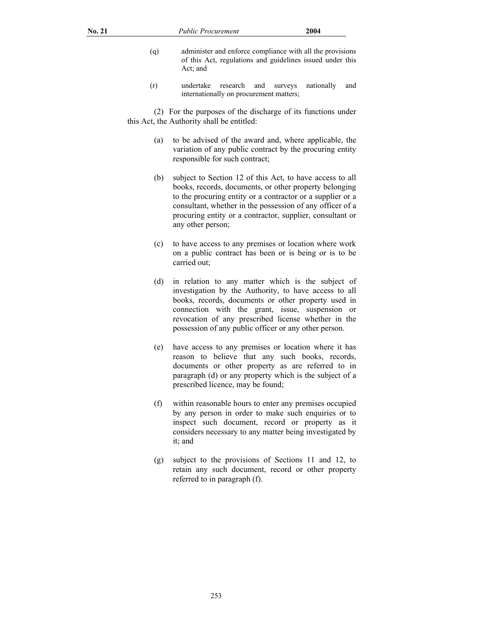- (q) administer and enforce compliance with all the provisions of this Act, regulations and guidelines issued under this Act; and
- (r) undertake research and surveys nationally and internationally on procurement matters;

 (2) For the purposes of the discharge of its functions under this Act, the Authority shall be entitled:

- (a) to be advised of the award and, where applicable, the variation of any public contract by the procuring entity responsible for such contract;
- (b) subject to Section 12 of this Act, to have access to all books, records, documents, or other property belonging to the procuring entity or a contractor or a supplier or a consultant, whether in the possession of any officer of a procuring entity or a contractor, supplier, consultant or any other person;
- (c) to have access to any premises or location where work on a public contract has been or is being or is to be carried out;
- (d) in relation to any matter which is the subject of investigation by the Authority, to have access to all books, records, documents or other property used in connection with the grant, issue, suspension or revocation of any prescribed license whether in the possession of any public officer or any other person.
- (e) have access to any premises or location where it has reason to believe that any such books, records, documents or other property as are referred to in paragraph (d) or any property which is the subject of a prescribed licence, may be found;
- (f) within reasonable hours to enter any premises occupied by any person in order to make such enquiries or to inspect such document, record or property as it considers necessary to any matter being investigated by it; and
- (g) subject to the provisions of Sections 11 and 12, to retain any such document, record or other property referred to in paragraph (f).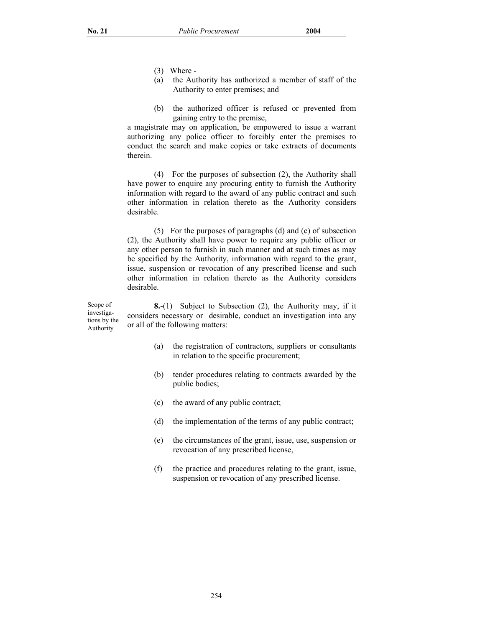- (3) Where -
- (a) the Authority has authorized a member of staff of the Authority to enter premises; and
- (b) the authorized officer is refused or prevented from gaining entry to the premise,

a magistrate may on application, be empowered to issue a warrant authorizing any police officer to forcibly enter the premises to conduct the search and make copies or take extracts of documents therein.

 (4) For the purposes of subsection (2), the Authority shall have power to enquire any procuring entity to furnish the Authority information with regard to the award of any public contract and such other information in relation thereto as the Authority considers desirable.

 (5) For the purposes of paragraphs (d) and (e) of subsection (2), the Authority shall have power to require any public officer or any other person to furnish in such manner and at such times as may be specified by the Authority, information with regard to the grant, issue, suspension or revocation of any prescribed license and such other information in relation thereto as the Authority considers desirable.

Scope of investigations by the Authority  **8.**-(1) Subject to Subsection (2), the Authority may, if it considers necessary or desirable, conduct an investigation into any or all of the following matters:

- (a) the registration of contractors, suppliers or consultants in relation to the specific procurement;
- (b) tender procedures relating to contracts awarded by the public bodies;
- (c) the award of any public contract;
- (d) the implementation of the terms of any public contract;
- (e) the circumstances of the grant, issue, use, suspension or revocation of any prescribed license,
- (f) the practice and procedures relating to the grant, issue, suspension or revocation of any prescribed license.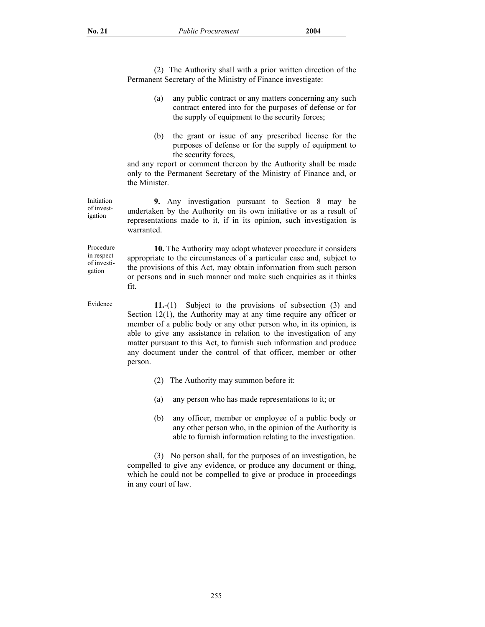(2) The Authority shall with a prior written direction of the Permanent Secretary of the Ministry of Finance investigate:

- (a) any public contract or any matters concerning any such contract entered into for the purposes of defense or for the supply of equipment to the security forces;
- (b) the grant or issue of any prescribed license for the purposes of defense or for the supply of equipment to the security forces,

and any report or comment thereon by the Authority shall be made only to the Permanent Secretary of the Ministry of Finance and, or the Minister.

**9.** Any investigation pursuant to Section 8 may be undertaken by the Authority on its own initiative or as a result of representations made to it, if in its opinion, such investigation is warranted.

Procedure in respect of investigation

Initiation of investigation

> **10.** The Authority may adopt whatever procedure it considers appropriate to the circumstances of a particular case and, subject to the provisions of this Act, may obtain information from such person or persons and in such manner and make such enquiries as it thinks fit.

Evidence **11.**-(1) Subject to the provisions of subsection (3) and Section 12(1), the Authority may at any time require any officer or member of a public body or any other person who, in its opinion, is able to give any assistance in relation to the investigation of any matter pursuant to this Act, to furnish such information and produce any document under the control of that officer, member or other person.

- (2) The Authority may summon before it:
- (a) any person who has made representations to it; or
- (b) any officer, member or employee of a public body or any other person who, in the opinion of the Authority is able to furnish information relating to the investigation.

 (3) No person shall, for the purposes of an investigation, be compelled to give any evidence, or produce any document or thing, which he could not be compelled to give or produce in proceedings in any court of law.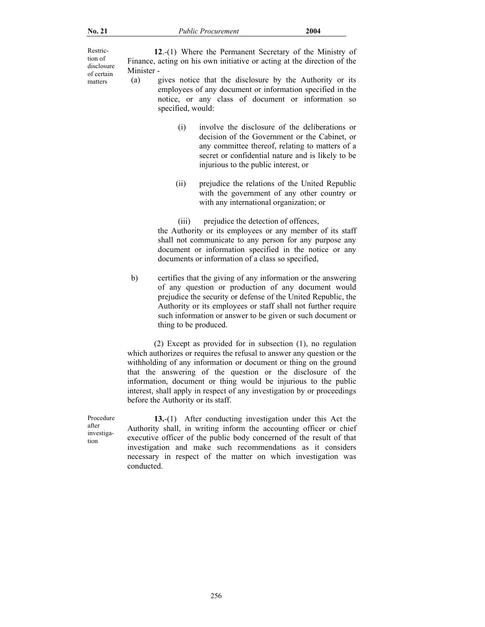Restriction of disclosure of certain

 **12**.-(1) Where the Permanent Secretary of the Ministry of Finance, acting on his own initiative or acting at the direction of the Minister -

- matters (a) gives notice that the disclosure by the Authority or its employees of any document or information specified in the notice, or any class of document or information so specified, would:
	- (i) involve the disclosure of the deliberations or decision of the Government or the Cabinet, or any committee thereof, relating to matters of a secret or confidential nature and is likely to be injurious to the public interest, or
	- (ii) prejudice the relations of the United Republic with the government of any other country or with any international organization; or

(iii) prejudice the detection of offences, the Authority or its employees or any member of its staff shall not communicate to any person for any purpose any document or information specified in the notice or any documents or information of a class so specified,

b) certifies that the giving of any information or the answering of any question or production of any document would prejudice the security or defense of the United Republic, the Authority or its employees or staff shall not further require such information or answer to be given or such document or thing to be produced.

 (2) Except as provided for in subsection (1), no regulation which authorizes or requires the refusal to answer any question or the withholding of any information or document or thing on the ground that the answering of the question or the disclosure of the information, document or thing would be injurious to the public interest, shall apply in respect of any investigation by or proceedings before the Authority or its staff.

 Procedure after investigation

**13.**-(1) After conducting investigation under this Act the Authority shall, in writing inform the accounting officer or chief executive officer of the public body concerned of the result of that investigation and make such recommendations as it considers necessary in respect of the matter on which investigation was conducted.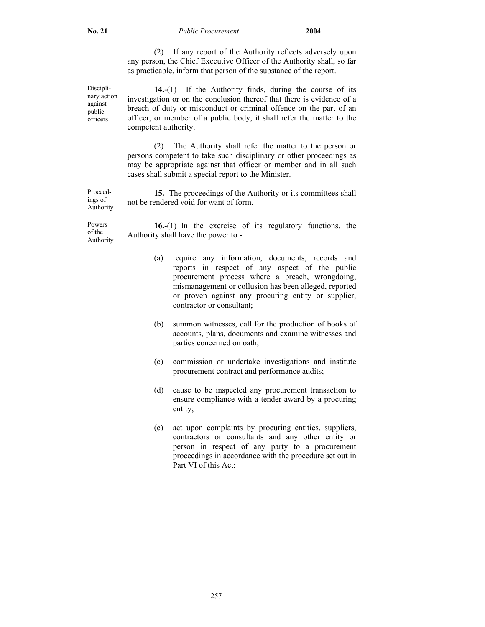(2) If any report of the Authority reflects adversely upon any person, the Chief Executive Officer of the Authority shall, so far as practicable, inform that person of the substance of the report.

 Disciplinary action against public officers

 Proceedings of Authority

**14.**-(1) If the Authority finds, during the course of its investigation or on the conclusion thereof that there is evidence of a breach of duty or misconduct or criminal offence on the part of an officer, or member of a public body, it shall refer the matter to the competent authority.

 (2) The Authority shall refer the matter to the person or persons competent to take such disciplinary or other proceedings as may be appropriate against that officer or member and in all such cases shall submit a special report to the Minister.

**15.** The proceedings of the Authority or its committees shall not be rendered void for want of form.

 Powers of the Authority **16.**-(1) In the exercise of its regulatory functions, the Authority shall have the power to -

- (a) require any information, documents, records and reports in respect of any aspect of the public procurement process where a breach, wrongdoing, mismanagement or collusion has been alleged, reported or proven against any procuring entity or supplier, contractor or consultant;
- (b) summon witnesses, call for the production of books of accounts, plans, documents and examine witnesses and parties concerned on oath;
- (c) commission or undertake investigations and institute procurement contract and performance audits;
- (d) cause to be inspected any procurement transaction to ensure compliance with a tender award by a procuring entity;
- (e) act upon complaints by procuring entities, suppliers, contractors or consultants and any other entity or person in respect of any party to a procurement proceedings in accordance with the procedure set out in Part VI of this Act;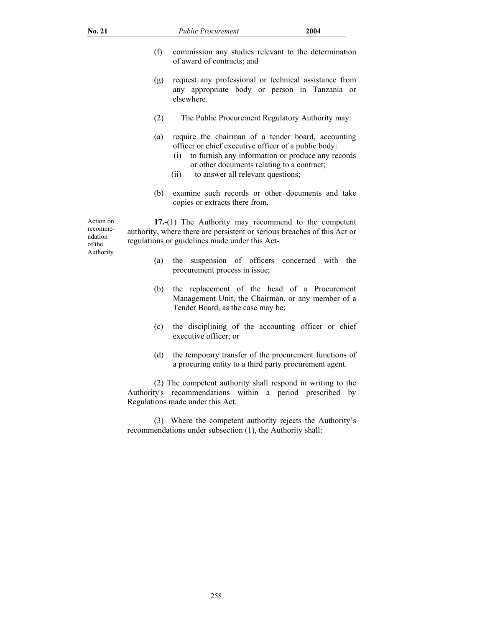| <b>No. 21</b> |     | <b>Public Procurement</b>                                                                                                                                                                                   | 2004                                              |
|---------------|-----|-------------------------------------------------------------------------------------------------------------------------------------------------------------------------------------------------------------|---------------------------------------------------|
|               | (f) | commission any studies relevant to the determination<br>of award of contracts; and                                                                                                                          |                                                   |
|               | (g) | request any professional or technical assistance from<br>any appropriate body or person in Tanzania or<br>elsewhere.                                                                                        |                                                   |
|               | (2) |                                                                                                                                                                                                             | The Public Procurement Regulatory Authority may:  |
|               | (a) | require the chairman of a tender board, accounting<br>officer or chief executive officer of a public body:<br>(1)<br>or other documents relating to a contract;<br>to answer all relevant questions;<br>(i) | to furnish any information or produce any records |
|               | (b) | examine such records or other documents and take<br>copies or extracts there from.                                                                                                                          |                                                   |

Action on recommendation of the Authority

**17.-**(1) The Authority may recommend to the competent authority, where there are persistent or serious breaches of this Act or regulations or guidelines made under this Act-

- (a) the suspension of officers concerned with the procurement process in issue;
- (b) the replacement of the head of a Procurement Management Unit, the Chairman, or any member of a Tender Board, as the case may be;
- (c) the disciplining of the accounting officer or chief executive officer; or
- (d) the temporary transfer of the procurement functions of a procuring entity to a third party procurement agent.

 (2) The competent authority shall respond in writing to the Authority's recommendations within a period prescribed by Regulations made under this Act.

 (3) Where the competent authority rejects the Authority's recommendations under subsection (1), the Authority shall: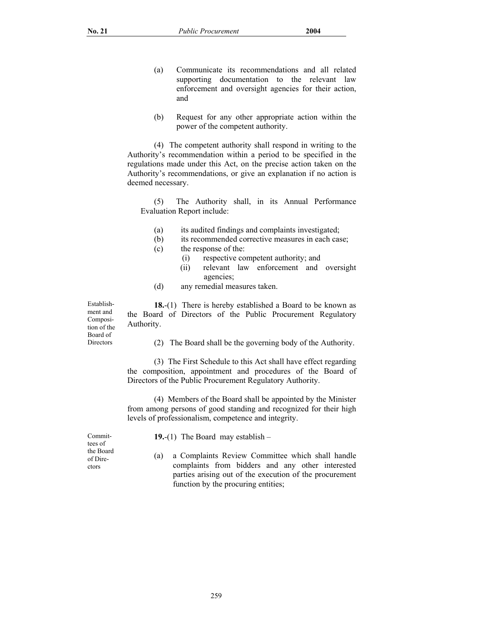- (a) Communicate its recommendations and all related supporting documentation to the relevant law enforcement and oversight agencies for their action, and
- (b) Request for any other appropriate action within the power of the competent authority.

 (4) The competent authority shall respond in writing to the Authority's recommendation within a period to be specified in the regulations made under this Act, on the precise action taken on the Authority's recommendations, or give an explanation if no action is deemed necessary.

(5) The Authority shall, in its Annual Performance Evaluation Report include:

- (a) its audited findings and complaints investigated;
- (b) its recommended corrective measures in each case;
- (c) the response of the:
	- (i) respective competent authority; and
	- (ii) relevant law enforcement and oversight agencies;
- (d) any remedial measures taken.

 **18.**-(1) There is hereby established a Board to be known as the Board of Directors of the Public Procurement Regulatory Authority.

(2) The Board shall be the governing body of the Authority.

 (3) The First Schedule to this Act shall have effect regarding the composition, appointment and procedures of the Board of Directors of the Public Procurement Regulatory Authority.

 (4) Members of the Board shall be appointed by the Minister from among persons of good standing and recognized for their high levels of professionalism, competence and integrity.

 Committees of the Board of Directors

Establishment and Composition of the Board of **Directors** 

- **19.**-(1) The Board may establish –
- (a) a Complaints Review Committee which shall handle complaints from bidders and any other interested parties arising out of the execution of the procurement function by the procuring entities;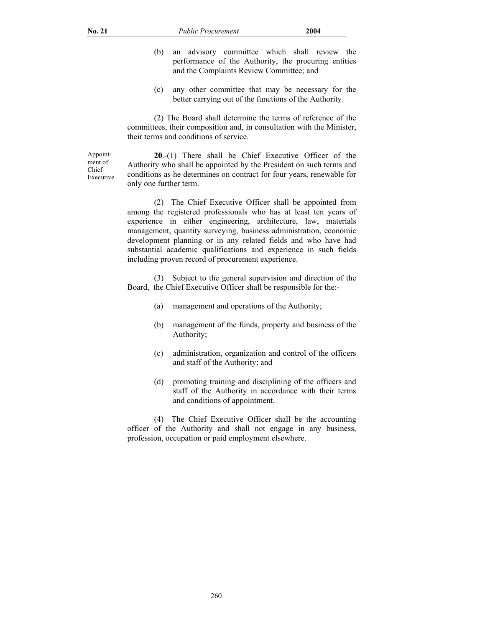- (b) an advisory committee which shall review the performance of the Authority, the procuring entities and the Complaints Review Committee; and
- (c) any other committee that may be necessary for the better carrying out of the functions of the Authority.

 (2) The Board shall determine the terms of reference of the committees, their composition and, in consultation with the Minister, their terms and conditions of service.

 Appointment of Chief Executive

**20**.-(1) There shall be Chief Executive Officer of the Authority who shall be appointed by the President on such terms and conditions as he determines on contract for four years, renewable for only one further term.

 (2) The Chief Executive Officer shall be appointed from among the registered professionals who has at least ten years of experience in either engineering, architecture, law, materials management, quantity surveying, business administration, economic development planning or in any related fields and who have had substantial academic qualifications and experience in such fields including proven record of procurement experience.

 (3) Subject to the general supervision and direction of the Board, the Chief Executive Officer shall be responsible for the:-

- (a) management and operations of the Authority;
- (b) management of the funds, property and business of the Authority;
- (c) administration, organization and control of the officers and staff of the Authority; and
- (d) promoting training and disciplining of the officers and staff of the Authority in accordance with their terms and conditions of appointment.

 (4) The Chief Executive Officer shall be the accounting officer of the Authority and shall not engage in any business, profession, occupation or paid employment elsewhere.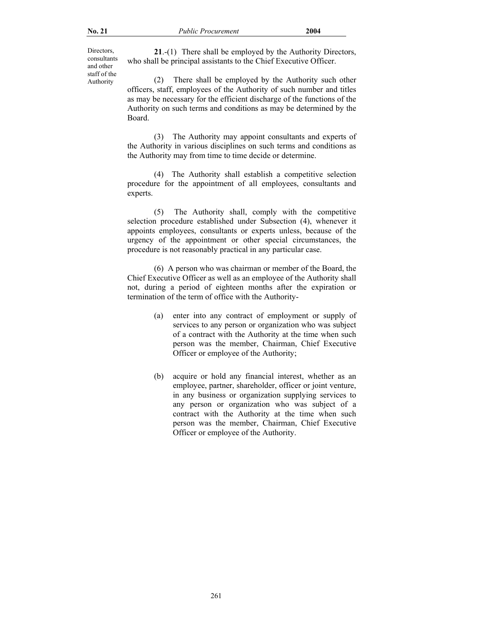Directors, consultants and other staff of the Authority

 **21**.-(1) There shall be employed by the Authority Directors, who shall be principal assistants to the Chief Executive Officer.

 (2) There shall be employed by the Authority such other officers, staff, employees of the Authority of such number and titles as may be necessary for the efficient discharge of the functions of the Authority on such terms and conditions as may be determined by the Board.

 (3) The Authority may appoint consultants and experts of the Authority in various disciplines on such terms and conditions as the Authority may from time to time decide or determine.

 (4) The Authority shall establish a competitive selection procedure for the appointment of all employees, consultants and experts.

 (5) The Authority shall, comply with the competitive selection procedure established under Subsection (4), whenever it appoints employees, consultants or experts unless, because of the urgency of the appointment or other special circumstances, the procedure is not reasonably practical in any particular case.

 (6) A person who was chairman or member of the Board, the Chief Executive Officer as well as an employee of the Authority shall not, during a period of eighteen months after the expiration or termination of the term of office with the Authority-

- (a) enter into any contract of employment or supply of services to any person or organization who was subject of a contract with the Authority at the time when such person was the member, Chairman, Chief Executive Officer or employee of the Authority;
- (b) acquire or hold any financial interest, whether as an employee, partner, shareholder, officer or joint venture, in any business or organization supplying services to any person or organization who was subject of a contract with the Authority at the time when such person was the member, Chairman, Chief Executive Officer or employee of the Authority.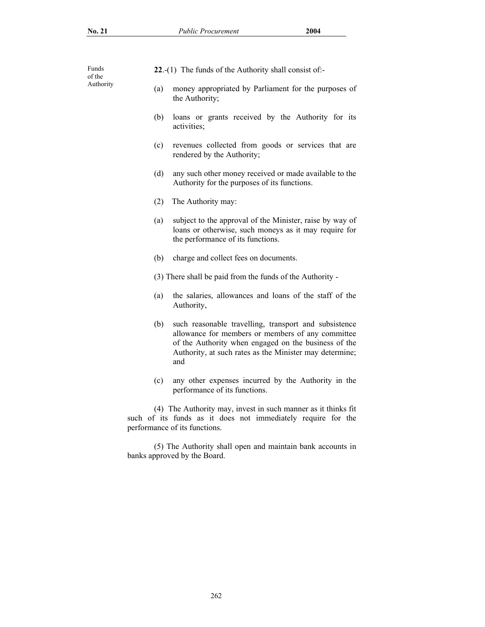| Funds<br>of the | 22.-(1) The funds of the Authority shall consist of:- |
|-----------------|-------------------------------------------------------|

- Authority (a) money appropriated by Parliament for the purposes of the Authority;
	- (b) loans or grants received by the Authority for its activities;
	- (c) revenues collected from goods or services that are rendered by the Authority;
	- (d) any such other money received or made available to the Authority for the purposes of its functions.
	- (2) The Authority may:
	- (a) subject to the approval of the Minister, raise by way of loans or otherwise, such moneys as it may require for the performance of its functions.
	- (b) charge and collect fees on documents.
	- (3) There shall be paid from the funds of the Authority -
	- (a) the salaries, allowances and loans of the staff of the Authority,
	- (b) such reasonable travelling, transport and subsistence allowance for members or members of any committee of the Authority when engaged on the business of the Authority, at such rates as the Minister may determine; and
	- (c) any other expenses incurred by the Authority in the performance of its functions.

 (4) The Authority may, invest in such manner as it thinks fit such of its funds as it does not immediately require for the performance of its functions.

 (5) The Authority shall open and maintain bank accounts in banks approved by the Board.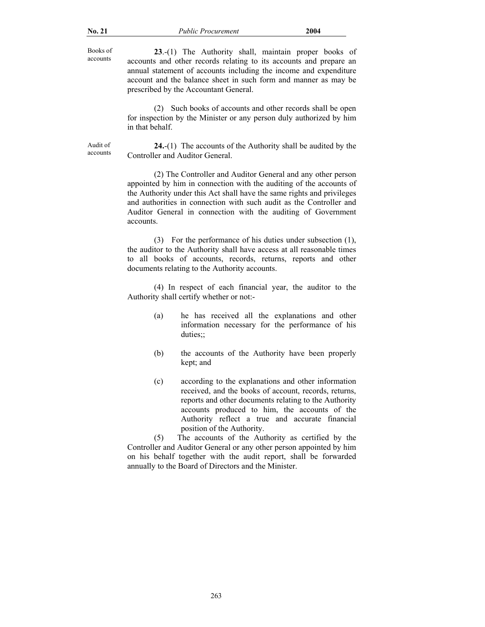Books of accounts

**23**.-(1) The Authority shall, maintain proper books of accounts and other records relating to its accounts and prepare an annual statement of accounts including the income and expenditure account and the balance sheet in such form and manner as may be prescribed by the Accountant General.

 (2) Such books of accounts and other records shall be open for inspection by the Minister or any person duly authorized by him in that behalf.

 Audit of accounts

**24.**-(1) The accounts of the Authority shall be audited by the Controller and Auditor General.

 (2) The Controller and Auditor General and any other person appointed by him in connection with the auditing of the accounts of the Authority under this Act shall have the same rights and privileges and authorities in connection with such audit as the Controller and Auditor General in connection with the auditing of Government accounts.

 (3) For the performance of his duties under subsection (1), the auditor to the Authority shall have access at all reasonable times to all books of accounts, records, returns, reports and other documents relating to the Authority accounts.

 (4) In respect of each financial year, the auditor to the Authority shall certify whether or not:-

- (a) he has received all the explanations and other information necessary for the performance of his duties;;
- (b) the accounts of the Authority have been properly kept; and
- (c) according to the explanations and other information received, and the books of account, records, returns, reports and other documents relating to the Authority accounts produced to him, the accounts of the Authority reflect a true and accurate financial position of the Authority.

 (5) The accounts of the Authority as certified by the Controller and Auditor General or any other person appointed by him on his behalf together with the audit report, shall be forwarded annually to the Board of Directors and the Minister.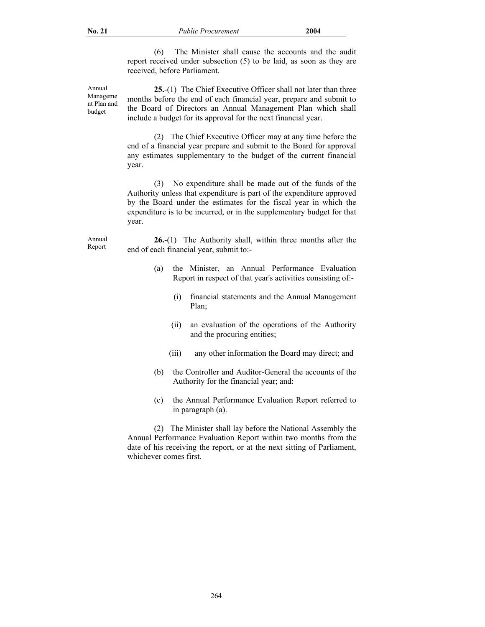(6) The Minister shall cause the accounts and the audit report received under subsection (5) to be laid, as soon as they are received, before Parliament.

 Annual Manageme nt Plan and budget

**25.**-(1) The Chief Executive Officer shall not later than three months before the end of each financial year, prepare and submit to the Board of Directors an Annual Management Plan which shall include a budget for its approval for the next financial year.

 (2) The Chief Executive Officer may at any time before the end of a financial year prepare and submit to the Board for approval any estimates supplementary to the budget of the current financial year.

 (3) No expenditure shall be made out of the funds of the Authority unless that expenditure is part of the expenditure approved by the Board under the estimates for the fiscal year in which the expenditure is to be incurred, or in the supplementary budget for that year.

 Annual Report

**26.**-(1) The Authority shall, within three months after the end of each financial year, submit to:-

- (a) the Minister, an Annual Performance Evaluation Report in respect of that year's activities consisting of:-
	- (i) financial statements and the Annual Management Plan;
	- (ii) an evaluation of the operations of the Authority and the procuring entities;
	- (iii) any other information the Board may direct; and
- (b) the Controller and Auditor-General the accounts of the Authority for the financial year; and:
- (c) the Annual Performance Evaluation Report referred to in paragraph (a).

 (2) The Minister shall lay before the National Assembly the Annual Performance Evaluation Report within two months from the date of his receiving the report, or at the next sitting of Parliament, whichever comes first.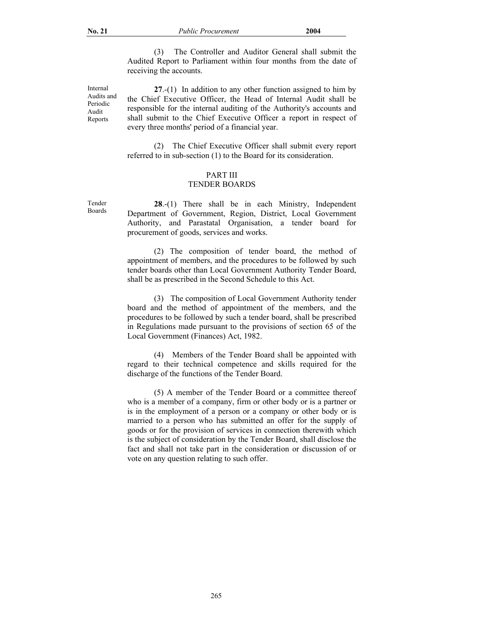(3) The Controller and Auditor General shall submit the Audited Report to Parliament within four months from the date of receiving the accounts.

 Internal Audits and Periodic Audit Reports

**27**.-(1) In addition to any other function assigned to him by the Chief Executive Officer, the Head of Internal Audit shall be responsible for the internal auditing of the Authority's accounts and shall submit to the Chief Executive Officer a report in respect of every three months' period of a financial year.

 (2) The Chief Executive Officer shall submit every report referred to in sub-section (1) to the Board for its consideration.

# PART III

## TENDER BOARDS

**28**.-(1) There shall be in each Ministry, Independent Department of Government, Region, District, Local Government Authority, and Parastatal Organisation, a tender board for procurement of goods, services and works.

 (2) The composition of tender board, the method of appointment of members, and the procedures to be followed by such tender boards other than Local Government Authority Tender Board, shall be as prescribed in the Second Schedule to this Act.

 (3) The composition of Local Government Authority tender board and the method of appointment of the members, and the procedures to be followed by such a tender board, shall be prescribed in Regulations made pursuant to the provisions of section 65 of the Local Government (Finances) Act, 1982.

 (4) Members of the Tender Board shall be appointed with regard to their technical competence and skills required for the discharge of the functions of the Tender Board.

 (5) A member of the Tender Board or a committee thereof who is a member of a company, firm or other body or is a partner or is in the employment of a person or a company or other body or is married to a person who has submitted an offer for the supply of goods or for the provision of services in connection therewith which is the subject of consideration by the Tender Board, shall disclose the fact and shall not take part in the consideration or discussion of or vote on any question relating to such offer.

Tender Boards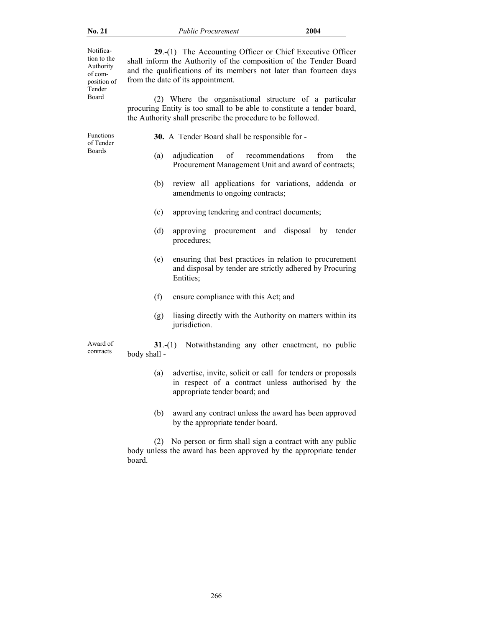Notification to the Authority of composition of Tender Board **29**.-(1)The Accounting Officer or Chief Executive Officer shall inform the Authority of the composition of the Tender Board and the qualifications of its members not later than fourteen days from the date of its appointment. (2) Where the organisational structure of a particular procuring Entity is too small to be able to constitute a tender board, the Authority shall prescribe the procedure to be followed. Functions of Tender Boards **30.** A Tender Board shall be responsible for - (a) adjudication of recommendations from the Procurement Management Unit and award of contracts; (b) review all applications for variations, addenda or amendments to ongoing contracts; (c) approving tendering and contract documents; (d) approving procurement and disposal by tender procedures; (e) ensuring that best practices in relation to procurement and disposal by tender are strictly adhered by Procuring Entities; (f) ensure compliance with this Act; and (g) liasing directly with the Authority on matters within its jurisdiction. Award of contracts **31.-(1)** Notwithstanding any other enactment, no public body shall - (a) advertise, invite, solicit or call for tenders or proposals in respect of a contract unless authorised by the appropriate tender board; and

> (b) award any contract unless the award has been approved by the appropriate tender board.

 (2) No person or firm shall sign a contract with any public body unless the award has been approved by the appropriate tender board.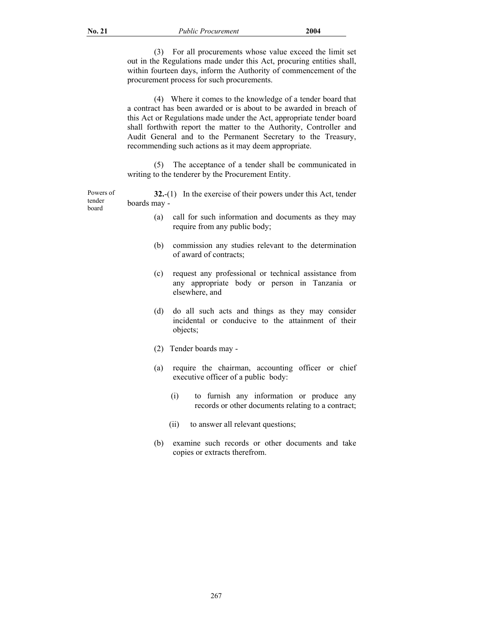(3) For all procurements whose value exceed the limit set out in the Regulations made under this Act, procuring entities shall, within fourteen days, inform the Authority of commencement of the procurement process for such procurements.

 (4) Where it comes to the knowledge of a tender board that a contract has been awarded or is about to be awarded in breach of this Act or Regulations made under the Act, appropriate tender board shall forthwith report the matter to the Authority, Controller and Audit General and to the Permanent Secretary to the Treasury, recommending such actions as it may deem appropriate.

 (5) The acceptance of a tender shall be communicated in writing to the tenderer by the Procurement Entity.

Powers of tender board **32.**-(1) In the exercise of their powers under this Act, tender boards may -

- (a) call for such information and documents as they may require from any public body;
- (b) commission any studies relevant to the determination of award of contracts;
- (c) request any professional or technical assistance from any appropriate body or person in Tanzania or elsewhere, and
- (d) do all such acts and things as they may consider incidental or conducive to the attainment of their objects;
- (2) Tender boards may -
- (a) require the chairman, accounting officer or chief executive officer of a public body:
	- (i) to furnish any information or produce any records or other documents relating to a contract;
	- (ii) to answer all relevant questions;
- (b) examine such records or other documents and take copies or extracts therefrom.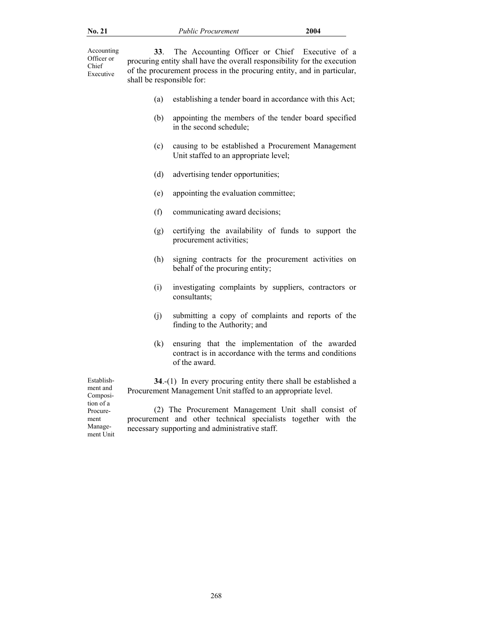Accounting Officer or Chief Executive

**33**. The Accounting Officer or Chief Executive of a procuring entity shall have the overall responsibility for the execution of the procurement process in the procuring entity, and in particular, shall be responsible for:

- (a) establishing a tender board in accordance with this Act;
- (b) appointing the members of the tender board specified in the second schedule;
- (c) causing to be established a Procurement Management Unit staffed to an appropriate level;
- (d) advertising tender opportunities;
- (e) appointing the evaluation committee;
- (f) communicating award decisions;
- (g) certifying the availability of funds to support the procurement activities;
- (h) signing contracts for the procurement activities on behalf of the procuring entity;
- (i) investigating complaints by suppliers, contractors or consultants;
- (j) submitting a copy of complaints and reports of the finding to the Authority; and
- (k) ensuring that the implementation of the awarded contract is in accordance with the terms and conditions of the award.

 Establishment and Composition of a Procurement Management Unit

**34.-(1)** In every procuring entity there shall be established a Procurement Management Unit staffed to an appropriate level.

 (2) The Procurement Management Unit shall consist of procurement and other technical specialists together with the necessary supporting and administrative staff.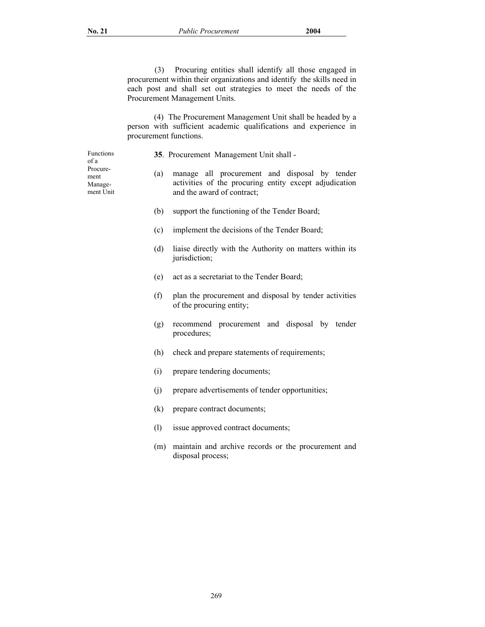(3) Procuring entities shall identify all those engaged in procurement within their organizations and identify the skills need in each post and shall set out strategies to meet the needs of the Procurement Management Units.

 (4) The Procurement Management Unit shall be headed by a person with sufficient academic qualifications and experience in procurement functions.

 Functions of a Procurement Manage-

ment Unit

**35**. Procurement Management Unit shall -

- (a) manage all procurement and disposal by tender activities of the procuring entity except adjudication and the award of contract;
- (b) support the functioning of the Tender Board;
- (c) implement the decisions of the Tender Board;
- (d) liaise directly with the Authority on matters within its jurisdiction;
- (e) act as a secretariat to the Tender Board;
- (f) plan the procurement and disposal by tender activities of the procuring entity;
- (g) recommend procurement and disposal by tender procedures;
- (h) check and prepare statements of requirements;
- (i) prepare tendering documents;
- (j) prepare advertisements of tender opportunities;
- (k) prepare contract documents;
- (l) issue approved contract documents;
- (m) maintain and archive records or the procurement and disposal process;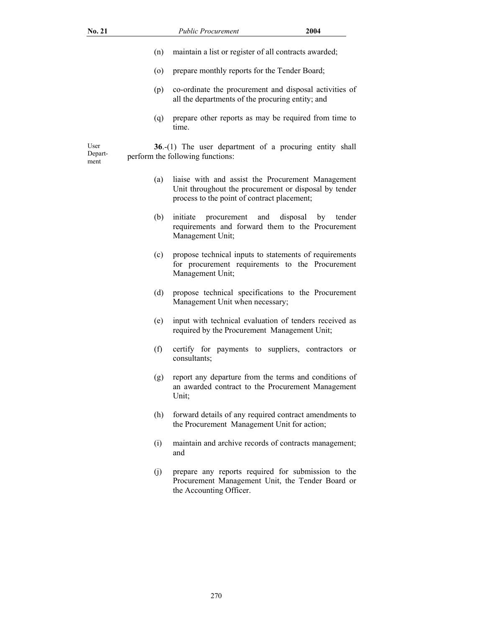| No. 21                  |         | <b>Public Procurement</b>                                                                                                                                 | 2004                     |
|-------------------------|---------|-----------------------------------------------------------------------------------------------------------------------------------------------------------|--------------------------|
|                         | (n)     | maintain a list or register of all contracts awarded;                                                                                                     |                          |
|                         | $\circ$ | prepare monthly reports for the Tender Board;                                                                                                             |                          |
|                         | (p)     | co-ordinate the procurement and disposal activities of<br>all the departments of the procuring entity; and                                                |                          |
|                         | (q)     | prepare other reports as may be required from time to<br>time.                                                                                            |                          |
| User<br>Depart-<br>ment |         | $36-(1)$ The user department of a procuring entity shall<br>perform the following functions:                                                              |                          |
|                         | (a)     | liaise with and assist the Procurement Management<br>Unit throughout the procurement or disposal by tender<br>process to the point of contract placement; |                          |
|                         | (b)     | initiate<br>procurement<br>and<br>requirements and forward them to the Procurement<br>Management Unit;                                                    | disposal<br>by<br>tender |
|                         | (c)     | propose technical inputs to statements of requirements<br>for procurement requirements to the Procurement<br>Management Unit;                             |                          |
|                         | (d)     | propose technical specifications to the Procurement<br>Management Unit when necessary;                                                                    |                          |

(f) certify for payments to suppliers, contractors or consultants;

(e) input with technical evaluation of tenders received as required by the Procurement Management Unit;

- (g) report any departure from the terms and conditions of an awarded contract to the Procurement Management Unit;
- (h) forward details of any required contract amendments to the Procurement Management Unit for action;
- (i) maintain and archive records of contracts management; and
- (j) prepare any reports required for submission to the Procurement Management Unit, the Tender Board or the Accounting Officer.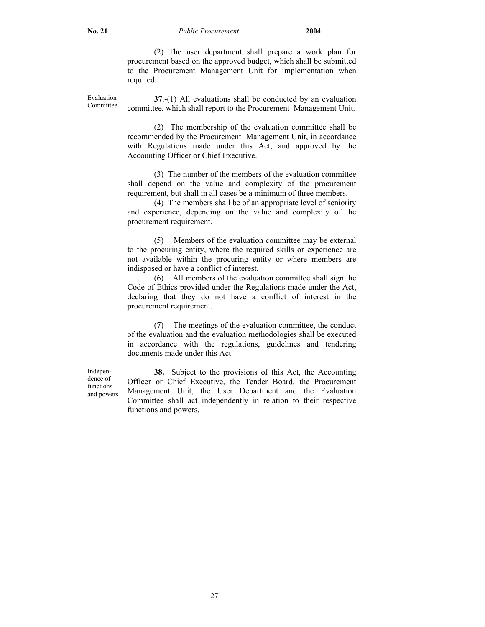(2) The user department shall prepare a work plan for procurement based on the approved budget, which shall be submitted to the Procurement Management Unit for implementation when required.

 Evaluation Committee

**37**.-(1) All evaluations shall be conducted by an evaluation committee, which shall report to the Procurement Management Unit.

 (2) The membership of the evaluation committee shall be recommended by the Procurement Management Unit, in accordance with Regulations made under this Act, and approved by the Accounting Officer or Chief Executive.

 (3) The number of the members of the evaluation committee shall depend on the value and complexity of the procurement requirement, but shall in all cases be a minimum of three members.

 (4) The members shall be of an appropriate level of seniority and experience, depending on the value and complexity of the procurement requirement.

 (5) Members of the evaluation committee may be external to the procuring entity, where the required skills or experience are not available within the procuring entity or where members are indisposed or have a conflict of interest.

 (6) All members of the evaluation committee shall sign the Code of Ethics provided under the Regulations made under the Act, declaring that they do not have a conflict of interest in the procurement requirement.

 (7) The meetings of the evaluation committee, the conduct of the evaluation and the evaluation methodologies shall be executed in accordance with the regulations, guidelines and tendering documents made under this Act.

**38.** Subject to the provisions of this Act, the Accounting Officer or Chief Executive, the Tender Board, the Procurement Management Unit, the User Department and the Evaluation Committee shall act independently in relation to their respective functions and powers.

 Independence of functions and powers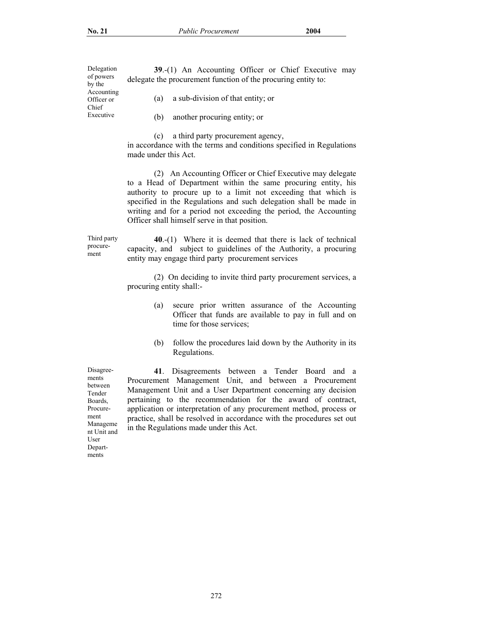Delegation of powers by the Accounting Officer or Chief Executive

**39**.-(1) An Accounting Officer or Chief Executive may delegate the procurement function of the procuring entity to:

(a) a sub-division of that entity; or

(b) another procuring entity; or

(c) a third party procurement agency,

in accordance with the terms and conditions specified in Regulations made under this Act.

 (2) An Accounting Officer or Chief Executive may delegate to a Head of Department within the same procuring entity, his authority to procure up to a limit not exceeding that which is specified in the Regulations and such delegation shall be made in writing and for a period not exceeding the period, the Accounting Officer shall himself serve in that position.

 Third party procurement

**40**.-(1) Where it is deemed that there is lack of technical capacity, and subject to guidelines of the Authority, a procuring entity may engage third party procurement services

 (2) On deciding to invite third party procurement services, a procuring entity shall:-

- (a) secure prior written assurance of the Accounting Officer that funds are available to pay in full and on time for those services;
- (b) follow the procedures laid down by the Authority in its Regulations.

**41**. Disagreements between a Tender Board and a Procurement Management Unit, and between a Procurement Management Unit and a User Department concerning any decision pertaining to the recommendation for the award of contract, application or interpretation of any procurement method, process or practice, shall be resolved in accordance with the procedures set out in the Regulations made under this Act.

ments between Tender Boards, Procurement Manageme nt Unit and User Departments

Disagree-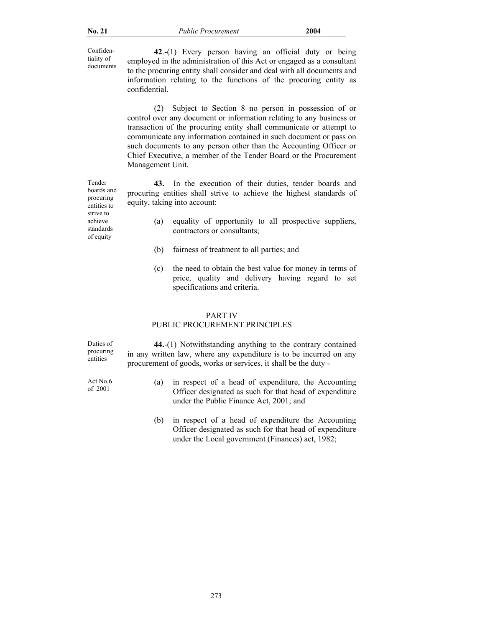Confidentiality of documents

**42**.-(1) Every person having an official duty or being employed in the administration of this Act or engaged as a consultant to the procuring entity shall consider and deal with all documents and information relating to the functions of the procuring entity as confidential.

 (2) Subject to Section 8 no person in possession of or control over any document or information relating to any business or transaction of the procuring entity shall communicate or attempt to communicate any information contained in such document or pass on such documents to any person other than the Accounting Officer or Chief Executive, a member of the Tender Board or the Procurement Management Unit.

**43.** In the execution of their duties, tender boards and procuring entities shall strive to achieve the highest standards of equity, taking into account:

- (a) equality of opportunity to all prospective suppliers, contractors or consultants;
- (b) fairness of treatment to all parties; and
- (c) the need to obtain the best value for money in terms of price, quality and delivery having regard to set specifications and criteria.

### PART IV

## PUBLIC PROCUREMENT PRINCIPLES

Duties of procuring entities

Act No.6

**44.**-(1) Notwithstanding anything to the contrary contained in any written law, where any expenditure is to be incurred on any procurement of goods, works or services, it shall be the duty -

- Act No.6 (a) in respect of a head of expenditure, the Accounting<br>of 2001 (Officer designated as such for that head of expenditure Officer designated as such for that head of expenditure under the Public Finance Act, 2001; and
	- (b) in respect of a head of expenditure the Accounting Officer designated as such for that head of expenditure under the Local government (Finances) act, 1982;

Tender boards and procuring entities to strive to achieve standards of equity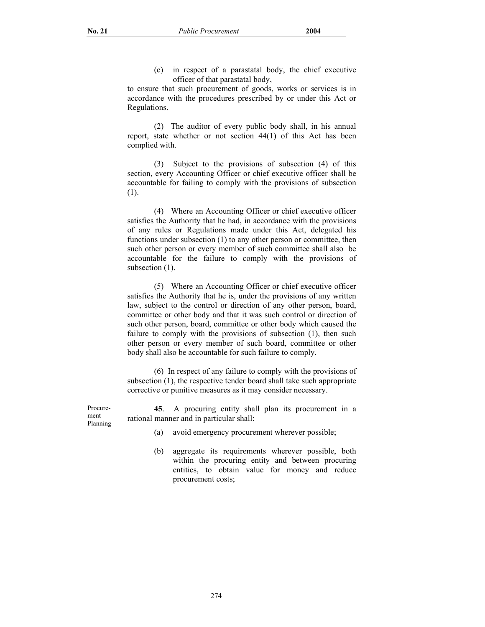(c) in respect of a parastatal body, the chief executive officer of that parastatal body,

to ensure that such procurement of goods, works or services is in accordance with the procedures prescribed by or under this Act or Regulations.

 (2) The auditor of every public body shall, in his annual report, state whether or not section 44(1) of this Act has been complied with.

 (3) Subject to the provisions of subsection (4) of this section, every Accounting Officer or chief executive officer shall be accountable for failing to comply with the provisions of subsection (1).

 (4) Where an Accounting Officer or chief executive officer satisfies the Authority that he had, in accordance with the provisions of any rules or Regulations made under this Act, delegated his functions under subsection (1) to any other person or committee, then such other person or every member of such committee shall also be accountable for the failure to comply with the provisions of subsection  $(1)$ .

 (5) Where an Accounting Officer or chief executive officer satisfies the Authority that he is, under the provisions of any written law, subject to the control or direction of any other person, board, committee or other body and that it was such control or direction of such other person, board, committee or other body which caused the failure to comply with the provisions of subsection (1), then such other person or every member of such board, committee or other body shall also be accountable for such failure to comply.

 (6) In respect of any failure to comply with the provisions of subsection (1), the respective tender board shall take such appropriate corrective or punitive measures as it may consider necessary.

**45**. A procuring entity shall plan its procurement in a rational manner and in particular shall:

- Procurement Planning
- (a) avoid emergency procurement wherever possible;
- (b) aggregate its requirements wherever possible, both within the procuring entity and between procuring entities, to obtain value for money and reduce procurement costs;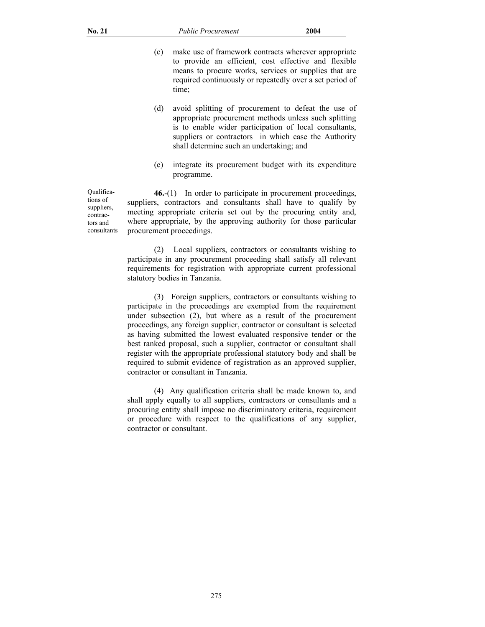- (c) make use of framework contracts wherever appropriate to provide an efficient, cost effective and flexible means to procure works, services or supplies that are required continuously or repeatedly over a set period of time;
- (d) avoid splitting of procurement to defeat the use of appropriate procurement methods unless such splitting is to enable wider participation of local consultants, suppliers or contractors in which case the Authority shall determine such an undertaking; and
- (e) integrate its procurement budget with its expenditure programme.

**46.**-(1) In order to participate in procurement proceedings, suppliers, contractors and consultants shall have to qualify by meeting appropriate criteria set out by the procuring entity and, where appropriate, by the approving authority for those particular procurement proceedings.

 (2) Local suppliers, contractors or consultants wishing to participate in any procurement proceeding shall satisfy all relevant requirements for registration with appropriate current professional statutory bodies in Tanzania.

 (3) Foreign suppliers, contractors or consultants wishing to participate in the proceedings are exempted from the requirement under subsection (2), but where as a result of the procurement proceedings, any foreign supplier, contractor or consultant is selected as having submitted the lowest evaluated responsive tender or the best ranked proposal, such a supplier, contractor or consultant shall register with the appropriate professional statutory body and shall be required to submit evidence of registration as an approved supplier, contractor or consultant in Tanzania.

 (4) Any qualification criteria shall be made known to, and shall apply equally to all suppliers, contractors or consultants and a procuring entity shall impose no discriminatory criteria, requirement or procedure with respect to the qualifications of any supplier, contractor or consultant.

 Qualifications of suppliers, contractors and consultants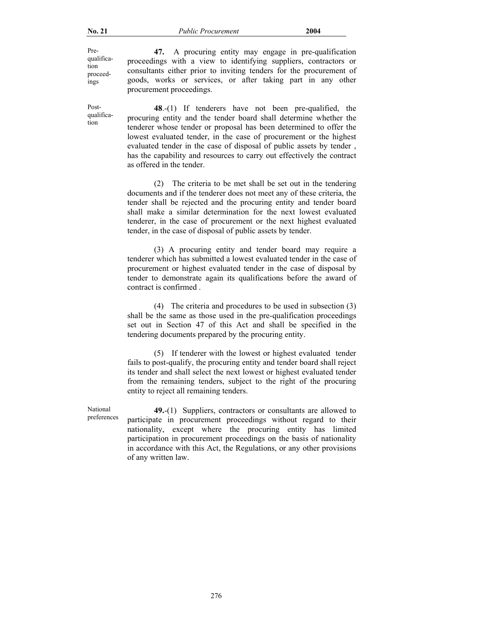Prequalification proceedings

Postqualification

goods, works or services, or after taking part in any other procurement proceedings. **48**.-(1) If tenderers have not been pre-qualified, the procuring entity and the tender board shall determine whether the tenderer whose tender or proposal has been determined to offer the

 **47.** A procuring entity may engage in pre-qualification proceedings with a view to identifying suppliers, contractors or consultants either prior to inviting tenders for the procurement of

lowest evaluated tender, in the case of procurement or the highest evaluated tender in the case of disposal of public assets by tender , has the capability and resources to carry out effectively the contract as offered in the tender.

 (2) The criteria to be met shall be set out in the tendering documents and if the tenderer does not meet any of these criteria, the tender shall be rejected and the procuring entity and tender board shall make a similar determination for the next lowest evaluated tenderer, in the case of procurement or the next highest evaluated tender, in the case of disposal of public assets by tender.

 (3) A procuring entity and tender board may require a tenderer which has submitted a lowest evaluated tender in the case of procurement or highest evaluated tender in the case of disposal by tender to demonstrate again its qualifications before the award of contract is confirmed .

 (4) The criteria and procedures to be used in subsection (3) shall be the same as those used in the pre-qualification proceedings set out in Section 47 of this Act and shall be specified in the tendering documents prepared by the procuring entity.

 (5) If tenderer with the lowest or highest evaluated tender fails to post-qualify, the procuring entity and tender board shall reject its tender and shall select the next lowest or highest evaluated tender from the remaining tenders, subject to the right of the procuring entity to reject all remaining tenders.

National preferences

**49.**-(1) Suppliers, contractors or consultants are allowed to participate in procurement proceedings without regard to their nationality, except where the procuring entity has limited participation in procurement proceedings on the basis of nationality in accordance with this Act, the Regulations, or any other provisions of any written law.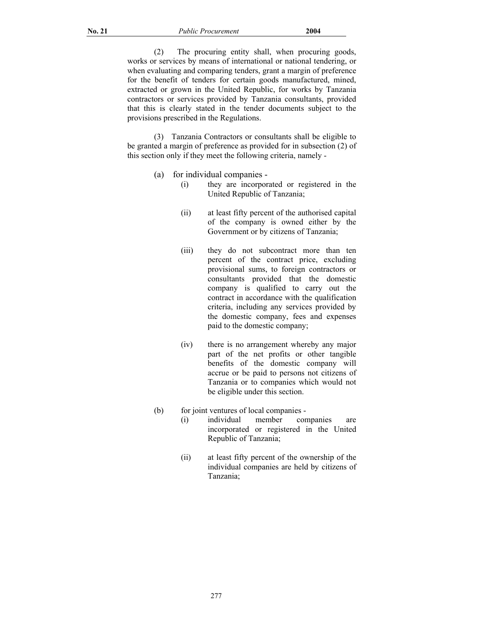(2) The procuring entity shall, when procuring goods, works or services by means of international or national tendering, or when evaluating and comparing tenders, grant a margin of preference for the benefit of tenders for certain goods manufactured, mined, extracted or grown in the United Republic, for works by Tanzania contractors or services provided by Tanzania consultants, provided that this is clearly stated in the tender documents subject to the provisions prescribed in the Regulations.

 (3) Tanzania Contractors or consultants shall be eligible to be granted a margin of preference as provided for in subsection (2) of this section only if they meet the following criteria, namely -

- (a) for individual companies
	- (i) they are incorporated or registered in the United Republic of Tanzania;
	- (ii) at least fifty percent of the authorised capital of the company is owned either by the Government or by citizens of Tanzania;
	- (iii) they do not subcontract more than ten percent of the contract price, excluding provisional sums, to foreign contractors or consultants provided that the domestic company is qualified to carry out the contract in accordance with the qualification criteria, including any services provided by the domestic company, fees and expenses paid to the domestic company;
	- (iv) there is no arrangement whereby any major part of the net profits or other tangible benefits of the domestic company will accrue or be paid to persons not citizens of Tanzania or to companies which would not be eligible under this section.
- (b) for joint ventures of local companies
	- (i) individual member companies are incorporated or registered in the United Republic of Tanzania;
	- (ii) at least fifty percent of the ownership of the individual companies are held by citizens of Tanzania;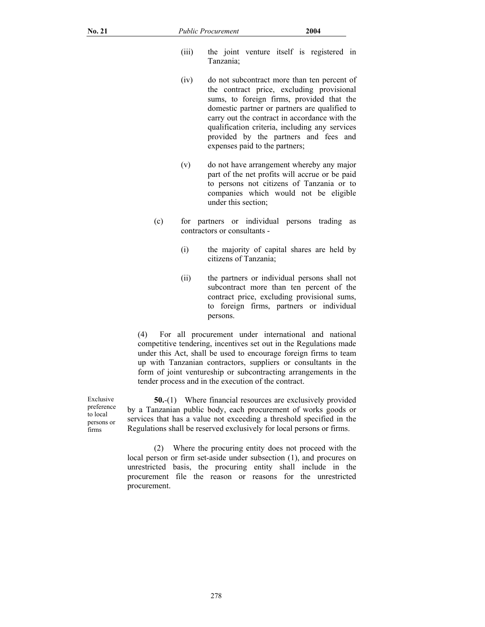- (iii) the joint venture itself is registered in Tanzania;
- (iv) do not subcontract more than ten percent of the contract price, excluding provisional sums, to foreign firms, provided that the domestic partner or partners are qualified to carry out the contract in accordance with the qualification criteria, including any services provided by the partners and fees and expenses paid to the partners;
- (v) do not have arrangement whereby any major part of the net profits will accrue or be paid to persons not citizens of Tanzania or to companies which would not be eligible under this section;
- (c) for partners or individual persons trading as contractors or consultants -
	- (i) the majority of capital shares are held by citizens of Tanzania;
	- (ii) the partners or individual persons shall not subcontract more than ten percent of the contract price, excluding provisional sums, to foreign firms, partners or individual persons.

(4) For all procurement under international and national competitive tendering, incentives set out in the Regulations made under this Act, shall be used to encourage foreign firms to team up with Tanzanian contractors, suppliers or consultants in the form of joint ventureship or subcontracting arrangements in the tender process and in the execution of the contract.

**50.**-(1) Where financial resources are exclusively provided by a Tanzanian public body, each procurement of works goods or services that has a value not exceeding a threshold specified in the Regulations shall be reserved exclusively for local persons or firms.

 (2) Where the procuring entity does not proceed with the local person or firm set-aside under subsection (1), and procures on unrestricted basis, the procuring entity shall include in the procurement file the reason or reasons for the unrestricted procurement.

 Exclusive preference to local persons or firms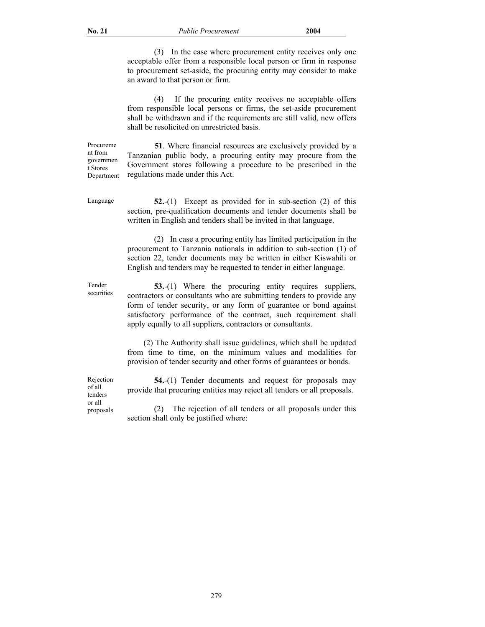(3) In the case where procurement entity receives only one acceptable offer from a responsible local person or firm in response to procurement set-aside, the procuring entity may consider to make an award to that person or firm.

 (4) If the procuring entity receives no acceptable offers from responsible local persons or firms, the set-aside procurement shall be withdrawn and if the requirements are still valid, new offers shall be resolicited on unrestricted basis.

 **51**. Where financial resources are exclusively provided by a Tanzanian public body, a procuring entity may procure from the Government stores following a procedure to be prescribed in the regulations made under this Act.

 Procureme nt from governmen t Stores Department

 Language **52.**-(1) Except as provided for in sub-section (2) of this section, pre-qualification documents and tender documents shall be written in English and tenders shall be invited in that language.

> (2) In case a procuring entity has limited participation in the procurement to Tanzania nationals in addition to sub-section (1) of section 22, tender documents may be written in either Kiswahili or English and tenders may be requested to tender in either language.

 Tender securities

**53.**-(1) Where the procuring entity requires suppliers, contractors or consultants who are submitting tenders to provide any form of tender security, or any form of guarantee or bond against satisfactory performance of the contract, such requirement shall apply equally to all suppliers, contractors or consultants.

 (2) The Authority shall issue guidelines, which shall be updated from time to time, on the minimum values and modalities for provision of tender security and other forms of guarantees or bonds.

 Rejection of all tenders or all proposals

**54.**-(1) Tender documents and request for proposals may provide that procuring entities may reject all tenders or all proposals.

 (2) The rejection of all tenders or all proposals under this section shall only be justified where: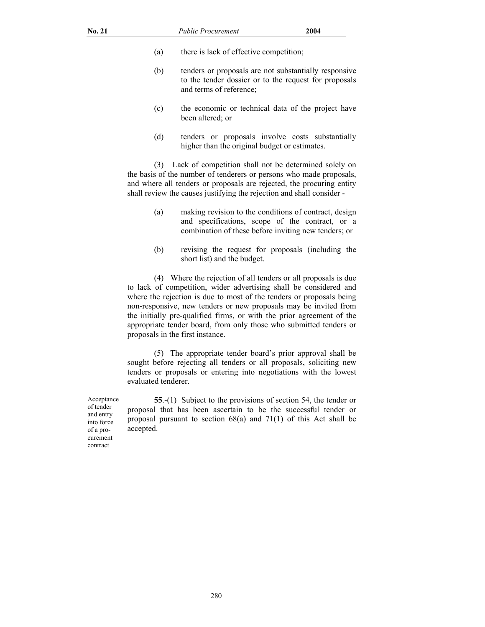- (a) there is lack of effective competition;
- (b) tenders or proposals are not substantially responsive to the tender dossier or to the request for proposals and terms of reference;
- (c) the economic or technical data of the project have been altered; or
- (d) tenders or proposals involve costs substantially higher than the original budget or estimates.

 (3) Lack of competition shall not be determined solely on the basis of the number of tenderers or persons who made proposals, and where all tenders or proposals are rejected, the procuring entity shall review the causes justifying the rejection and shall consider -

- (a) making revision to the conditions of contract, design and specifications, scope of the contract, or a combination of these before inviting new tenders; or
- (b) revising the request for proposals (including the short list) and the budget.

 (4) Where the rejection of all tenders or all proposals is due to lack of competition, wider advertising shall be considered and where the rejection is due to most of the tenders or proposals being non-responsive, new tenders or new proposals may be invited from the initially pre-qualified firms, or with the prior agreement of the appropriate tender board, from only those who submitted tenders or proposals in the first instance.

 (5) The appropriate tender board's prior approval shall be sought before rejecting all tenders or all proposals, soliciting new tenders or proposals or entering into negotiations with the lowest evaluated tenderer.

**55**.-(1) Subject to the provisions of section 54, the tender or proposal that has been ascertain to be the successful tender or proposal pursuant to section 68(a) and 71(1) of this Act shall be accepted.

 Acceptance of tender and entry into force of a procurement contract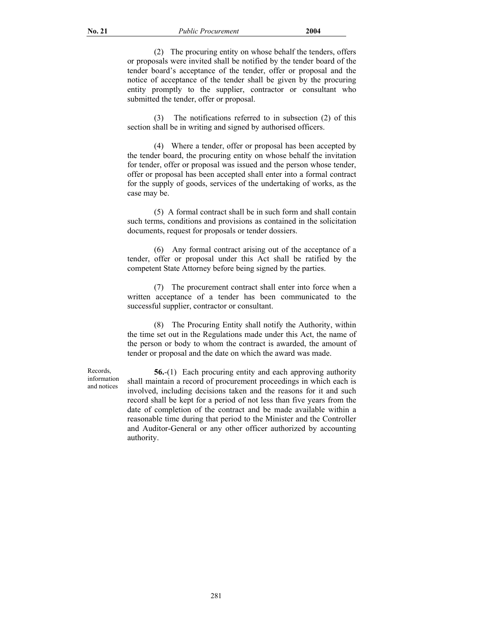(2) The procuring entity on whose behalf the tenders, offers or proposals were invited shall be notified by the tender board of the tender board's acceptance of the tender, offer or proposal and the notice of acceptance of the tender shall be given by the procuring entity promptly to the supplier, contractor or consultant who submitted the tender, offer or proposal.

 (3) The notifications referred to in subsection (2) of this section shall be in writing and signed by authorised officers.

 (4) Where a tender, offer or proposal has been accepted by the tender board, the procuring entity on whose behalf the invitation for tender, offer or proposal was issued and the person whose tender, offer or proposal has been accepted shall enter into a formal contract for the supply of goods, services of the undertaking of works, as the case may be.

 (5) A formal contract shall be in such form and shall contain such terms, conditions and provisions as contained in the solicitation documents, request for proposals or tender dossiers.

 (6) Any formal contract arising out of the acceptance of a tender, offer or proposal under this Act shall be ratified by the competent State Attorney before being signed by the parties.

 (7) The procurement contract shall enter into force when a written acceptance of a tender has been communicated to the successful supplier, contractor or consultant.

 (8) The Procuring Entity shall notify the Authority, within the time set out in the Regulations made under this Act, the name of the person or body to whom the contract is awarded, the amount of tender or proposal and the date on which the award was made.

 Records, information and notices

**56.**-(1) Each procuring entity and each approving authority shall maintain a record of procurement proceedings in which each is involved, including decisions taken and the reasons for it and such record shall be kept for a period of not less than five years from the date of completion of the contract and be made available within a reasonable time during that period to the Minister and the Controller and Auditor-General or any other officer authorized by accounting authority.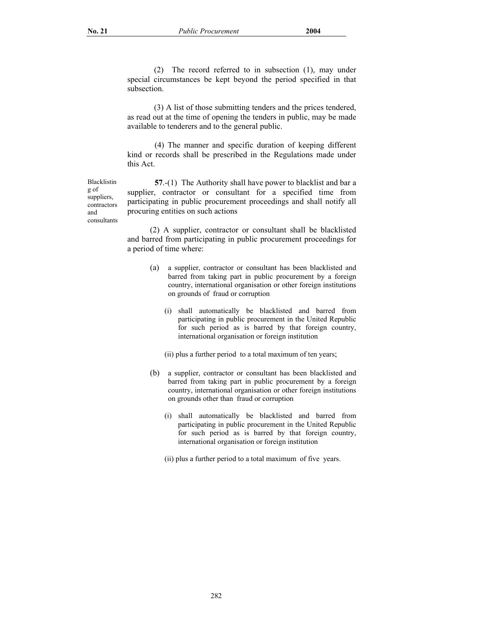(2) The record referred to in subsection (1), may under special circumstances be kept beyond the period specified in that subsection.

 (3) A list of those submitting tenders and the prices tendered, as read out at the time of opening the tenders in public, may be made available to tenderers and to the general public.

(4) The manner and specific duration of keeping different kind or records shall be prescribed in the Regulations made under this Act.

**57**.-(1) The Authority shall have power to blacklist and bar a supplier, contractor or consultant for a specified time from participating in public procurement proceedings and shall notify all procuring entities on such actions

 (2) A supplier, contractor or consultant shall be blacklisted and barred from participating in public procurement proceedings for a period of time where:

- (a) a supplier, contractor or consultant has been blacklisted and barred from taking part in public procurement by a foreign country, international organisation or other foreign institutions on grounds of fraud or corruption
	- (i) shall automatically be blacklisted and barred from participating in public procurement in the United Republic for such period as is barred by that foreign country, international organisation or foreign institution

(ii) plus a further period to a total maximum of ten years;

- (b) a supplier, contractor or consultant has been blacklisted and barred from taking part in public procurement by a foreign country, international organisation or other foreign institutions on grounds other than fraud or corruption
	- (i) shall automatically be blacklisted and barred from participating in public procurement in the United Republic for such period as is barred by that foreign country, international organisation or foreign institution

(ii) plus a further period to a total maximum of five years.

Blacklistin g of suppliers, contractors and consultants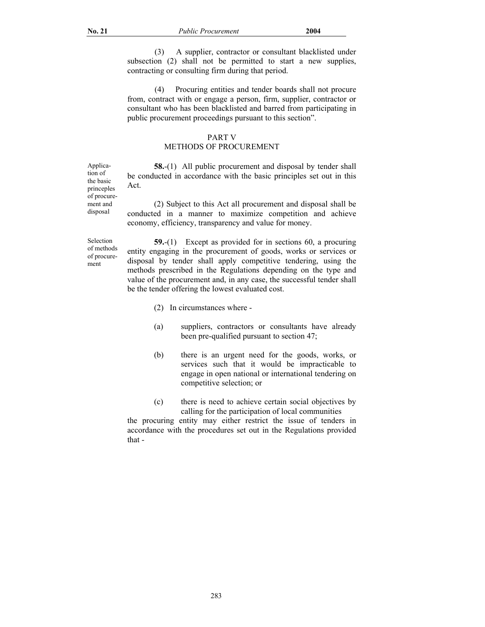(3) A supplier, contractor or consultant blacklisted under subsection (2) shall not be permitted to start a new supplies, contracting or consulting firm during that period.

 (4) Procuring entities and tender boards shall not procure from, contract with or engage a person, firm, supplier, contractor or consultant who has been blacklisted and barred from participating in public procurement proceedings pursuant to this section".

# PART V

# METHODS OF PROCUREMENT

**58.**-(1) All public procurement and disposal by tender shall be conducted in accordance with the basic principles set out in this Act.

 (2) Subject to this Act all procurement and disposal shall be conducted in a manner to maximize competition and achieve economy, efficiency, transparency and value for money.

Selection of methods of procurement

Application of the basic princeples of procurement and disposal

> **59.**-(1) Except as provided for in sections 60, a procuring entity engaging in the procurement of goods, works or services or disposal by tender shall apply competitive tendering, using the methods prescribed in the Regulations depending on the type and value of the procurement and, in any case, the successful tender shall be the tender offering the lowest evaluated cost.

- (2) In circumstances where -
- (a) suppliers, contractors or consultants have already been pre-qualified pursuant to section 47;
- (b) there is an urgent need for the goods, works, or services such that it would be impracticable to engage in open national or international tendering on competitive selection; or
- (c) there is need to achieve certain social objectives by calling for the participation of local communities

the procuring entity may either restrict the issue of tenders in accordance with the procedures set out in the Regulations provided that -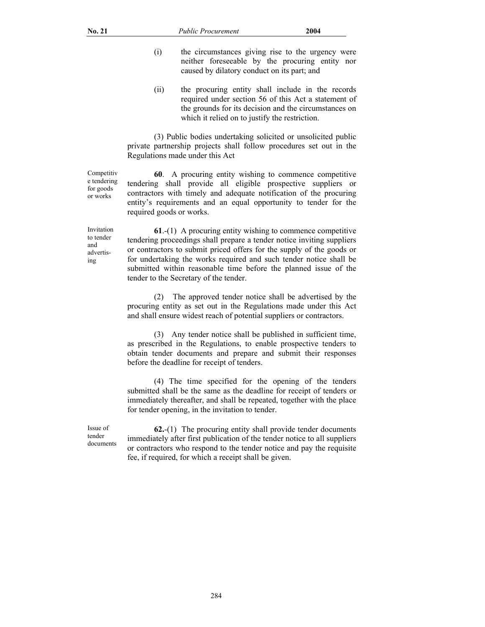- (i) the circumstances giving rise to the urgency were neither foreseeable by the procuring entity nor caused by dilatory conduct on its part; and
- (ii) the procuring entity shall include in the records required under section 56 of this Act a statement of the grounds for its decision and the circumstances on which it relied on to justify the restriction.

(3) Public bodies undertaking solicited or unsolicited public private partnership projects shall follow procedures set out in the Regulations made under this Act

**60**. A procuring entity wishing to commence competitive tendering shall provide all eligible prospective suppliers or contractors with timely and adequate notification of the procuring entity's requirements and an equal opportunity to tender for the required goods or works.

**61**.-(1) A procuring entity wishing to commence competitive tendering proceedings shall prepare a tender notice inviting suppliers or contractors to submit priced offers for the supply of the goods or for undertaking the works required and such tender notice shall be submitted within reasonable time before the planned issue of the tender to the Secretary of the tender.

 (2) The approved tender notice shall be advertised by the procuring entity as set out in the Regulations made under this Act and shall ensure widest reach of potential suppliers or contractors.

 (3) Any tender notice shall be published in sufficient time, as prescribed in the Regulations, to enable prospective tenders to obtain tender documents and prepare and submit their responses before the deadline for receipt of tenders.

 (4) The time specified for the opening of the tenders submitted shall be the same as the deadline for receipt of tenders or immediately thereafter, and shall be repeated, together with the place for tender opening, in the invitation to tender.

Issue of tender documents

**62.**-(1) The procuring entity shall provide tender documents immediately after first publication of the tender notice to all suppliers or contractors who respond to the tender notice and pay the requisite fee, if required, for which a receipt shall be given.

 Competitiv e tendering for goods or works

 Invitation to tender and advertising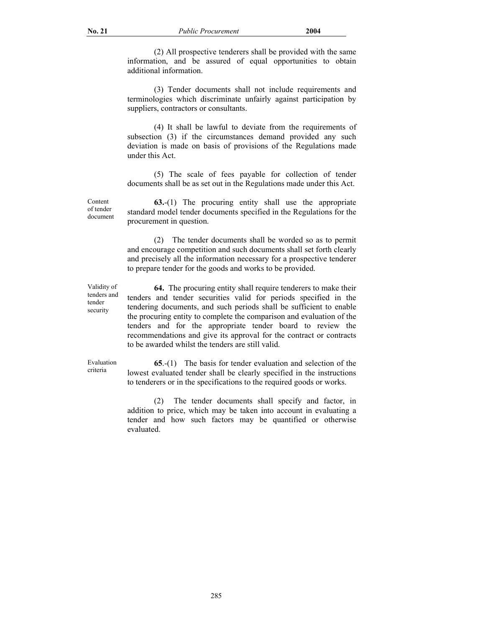(2) All prospective tenderers shall be provided with the same information, and be assured of equal opportunities to obtain additional information.

(3) Tender documents shall not include requirements and terminologies which discriminate unfairly against participation by suppliers, contractors or consultants.

(4) It shall be lawful to deviate from the requirements of subsection (3) if the circumstances demand provided any such deviation is made on basis of provisions of the Regulations made under this Act.

(5) The scale of fees payable for collection of tender documents shall be as set out in the Regulations made under this Act.

**63.**-(1) The procuring entity shall use the appropriate standard model tender documents specified in the Regulations for the procurement in question.

 (2) The tender documents shall be worded so as to permit and encourage competition and such documents shall set forth clearly and precisely all the information necessary for a prospective tenderer to prepare tender for the goods and works to be provided.

Validity of tenders and tender security

Content of tender document

> **64.** The procuring entity shall require tenderers to make their tenders and tender securities valid for periods specified in the tendering documents, and such periods shall be sufficient to enable the procuring entity to complete the comparison and evaluation of the tenders and for the appropriate tender board to review the recommendations and give its approval for the contract or contracts to be awarded whilst the tenders are still valid.

Evaluation criteria

**65**.-(1) The basis for tender evaluation and selection of the lowest evaluated tender shall be clearly specified in the instructions to tenderers or in the specifications to the required goods or works.

 (2) The tender documents shall specify and factor, in addition to price, which may be taken into account in evaluating a tender and how such factors may be quantified or otherwise evaluated.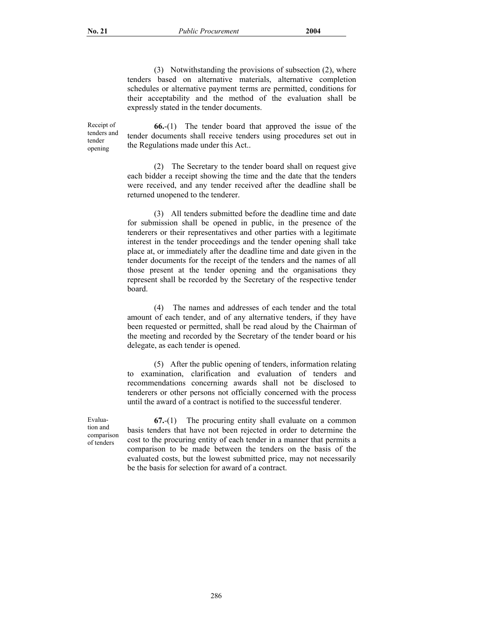(3) Notwithstanding the provisions of subsection (2), where tenders based on alternative materials, alternative completion schedules or alternative payment terms are permitted, conditions for their acceptability and the method of the evaluation shall be expressly stated in the tender documents.

 Receipt of tenders and tender opening

**66.**-(1) The tender board that approved the issue of the tender documents shall receive tenders using procedures set out in the Regulations made under this Act..

 (2) The Secretary to the tender board shall on request give each bidder a receipt showing the time and the date that the tenders were received, and any tender received after the deadline shall be returned unopened to the tenderer.

 (3) All tenders submitted before the deadline time and date for submission shall be opened in public, in the presence of the tenderers or their representatives and other parties with a legitimate interest in the tender proceedings and the tender opening shall take place at, or immediately after the deadline time and date given in the tender documents for the receipt of the tenders and the names of all those present at the tender opening and the organisations they represent shall be recorded by the Secretary of the respective tender board.

 (4) The names and addresses of each tender and the total amount of each tender, and of any alternative tenders, if they have been requested or permitted, shall be read aloud by the Chairman of the meeting and recorded by the Secretary of the tender board or his delegate, as each tender is opened.

 (5) After the public opening of tenders, information relating to examination, clarification and evaluation of tenders and recommendations concerning awards shall not be disclosed to tenderers or other persons not officially concerned with the process until the award of a contract is notified to the successful tenderer.

 Evaluation and comparison of tenders

**67.**-(1) The procuring entity shall evaluate on a common basis tenders that have not been rejected in order to determine the cost to the procuring entity of each tender in a manner that permits a comparison to be made between the tenders on the basis of the evaluated costs, but the lowest submitted price, may not necessarily be the basis for selection for award of a contract.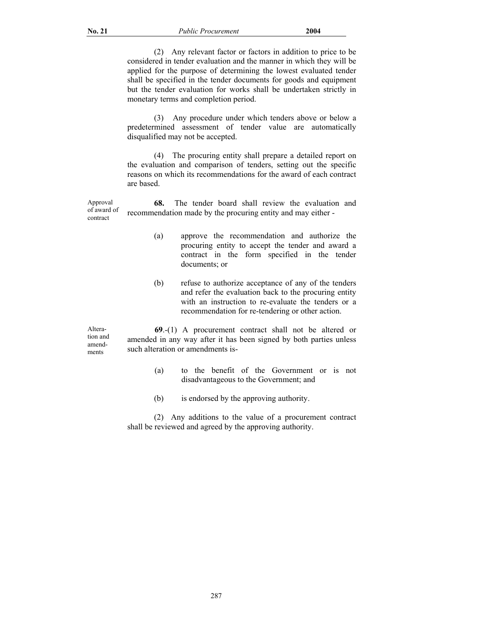(2) Any relevant factor or factors in addition to price to be considered in tender evaluation and the manner in which they will be applied for the purpose of determining the lowest evaluated tender shall be specified in the tender documents for goods and equipment but the tender evaluation for works shall be undertaken strictly in monetary terms and completion period.

 (3) Any procedure under which tenders above or below a predetermined assessment of tender value are automatically disqualified may not be accepted.

 (4) The procuring entity shall prepare a detailed report on the evaluation and comparison of tenders, setting out the specific reasons on which its recommendations for the award of each contract are based.

Approval of award of contract  **68.** The tender board shall review the evaluation and recommendation made by the procuring entity and may either -

- (a) approve the recommendation and authorize the procuring entity to accept the tender and award a contract in the form specified in the tender documents; or
- (b) refuse to authorize acceptance of any of the tenders and refer the evaluation back to the procuring entity with an instruction to re-evaluate the tenders or a recommendation for re-tendering or other action.

 Alteration and amendments

 **69**.-(1) A procurement contract shall not be altered or amended in any way after it has been signed by both parties unless such alteration or amendments is-

- (a) to the benefit of the Government or is not disadvantageous to the Government; and
- (b) is endorsed by the approving authority.

 (2) Any additions to the value of a procurement contract shall be reviewed and agreed by the approving authority.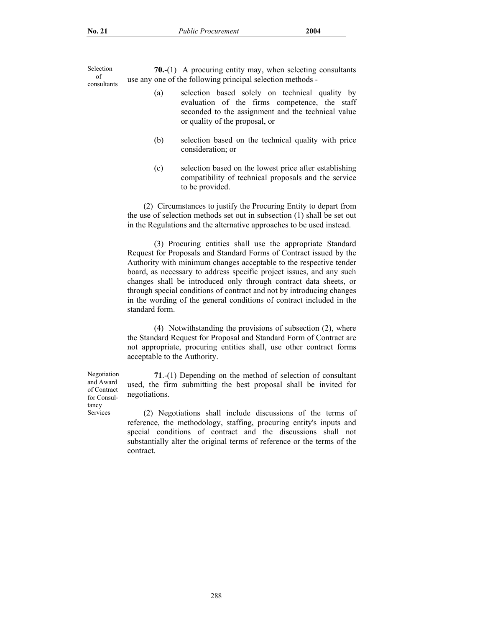Selection of consultants

**70.**-(1) A procuring entity may, when selecting consultants use any one of the following principal selection methods -

- (a) selection based solely on technical quality by evaluation of the firms competence, the staff seconded to the assignment and the technical value or quality of the proposal, or
- (b) selection based on the technical quality with price consideration; or
- (c) selection based on the lowest price after establishing compatibility of technical proposals and the service to be provided.

 (2) Circumstances to justify the Procuring Entity to depart from the use of selection methods set out in subsection (1) shall be set out in the Regulations and the alternative approaches to be used instead.

 (3) Procuring entities shall use the appropriate Standard Request for Proposals and Standard Forms of Contract issued by the Authority with minimum changes acceptable to the respective tender board, as necessary to address specific project issues, and any such changes shall be introduced only through contract data sheets, or through special conditions of contract and not by introducing changes in the wording of the general conditions of contract included in the standard form.

 (4) Notwithstanding the provisions of subsection (2), where the Standard Request for Proposal and Standard Form of Contract are not appropriate, procuring entities shall, use other contract forms acceptable to the Authority.

**71**.-(1) Depending on the method of selection of consultant used, the firm submitting the best proposal shall be invited for negotiations.

 (2) Negotiations shall include discussions of the terms of reference, the methodology, staffing, procuring entity's inputs and special conditions of contract and the discussions shall not substantially alter the original terms of reference or the terms of the contract.

Negotiation and Award of Contract for Consultancy Services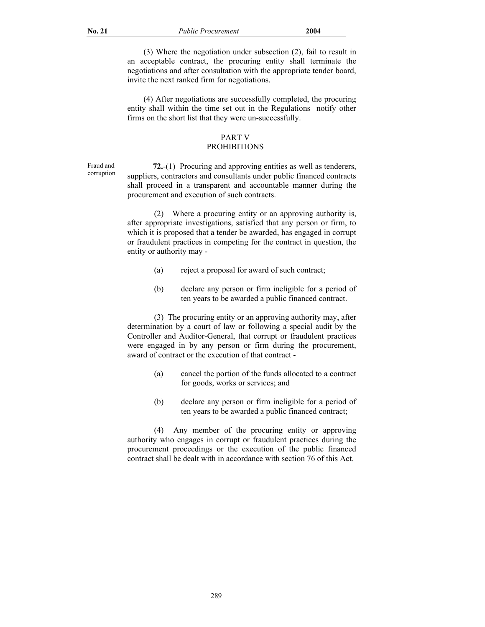(3) Where the negotiation under subsection (2), fail to result in an acceptable contract, the procuring entity shall terminate the negotiations and after consultation with the appropriate tender board, invite the next ranked firm for negotiations.

 (4) After negotiations are successfully completed, the procuring entity shall within the time set out in the Regulations notify other firms on the short list that they were un-successfully.

## PART V

# **PROHIBITIONS**

Fraud and corruption

 **72.**-(1) Procuring and approving entities as well as tenderers, suppliers, contractors and consultants under public financed contracts shall proceed in a transparent and accountable manner during the procurement and execution of such contracts.

 (2) Where a procuring entity or an approving authority is, after appropriate investigations, satisfied that any person or firm, to which it is proposed that a tender be awarded, has engaged in corrupt or fraudulent practices in competing for the contract in question, the entity or authority may -

- (a) reject a proposal for award of such contract;
- (b) declare any person or firm ineligible for a period of ten years to be awarded a public financed contract.

 (3) The procuring entity or an approving authority may, after determination by a court of law or following a special audit by the Controller and Auditor-General, that corrupt or fraudulent practices were engaged in by any person or firm during the procurement, award of contract or the execution of that contract -

- (a) cancel the portion of the funds allocated to a contract for goods, works or services; and
- (b) declare any person or firm ineligible for a period of ten years to be awarded a public financed contract;

 (4) Any member of the procuring entity or approving authority who engages in corrupt or fraudulent practices during the procurement proceedings or the execution of the public financed contract shall be dealt with in accordance with section 76 of this Act.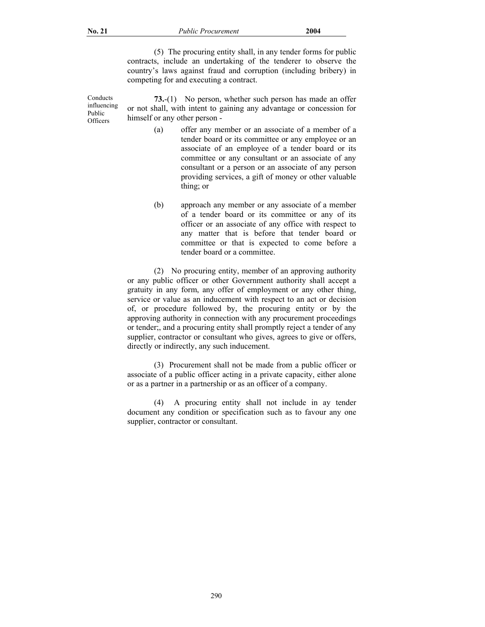Conducts influencing Public **Officers** 

 (5) The procuring entity shall, in any tender forms for public contracts, include an undertaking of the tenderer to observe the country's laws against fraud and corruption (including bribery) in competing for and executing a contract.

**73.**-(1) No person, whether such person has made an offer or not shall, with intent to gaining any advantage or concession for himself or any other person -

- (a) offer any member or an associate of a member of a tender board or its committee or any employee or an associate of an employee of a tender board or its committee or any consultant or an associate of any consultant or a person or an associate of any person providing services, a gift of money or other valuable thing; or
- (b) approach any member or any associate of a member of a tender board or its committee or any of its officer or an associate of any office with respect to any matter that is before that tender board or committee or that is expected to come before a tender board or a committee.

 (2) No procuring entity, member of an approving authority or any public officer or other Government authority shall accept a gratuity in any form, any offer of employment or any other thing, service or value as an inducement with respect to an act or decision of, or procedure followed by, the procuring entity or by the approving authority in connection with any procurement proceedings or tender;, and a procuring entity shall promptly reject a tender of any supplier, contractor or consultant who gives, agrees to give or offers, directly or indirectly, any such inducement.

 (3) Procurement shall not be made from a public officer or associate of a public officer acting in a private capacity, either alone or as a partner in a partnership or as an officer of a company.

 (4) A procuring entity shall not include in ay tender document any condition or specification such as to favour any one supplier, contractor or consultant.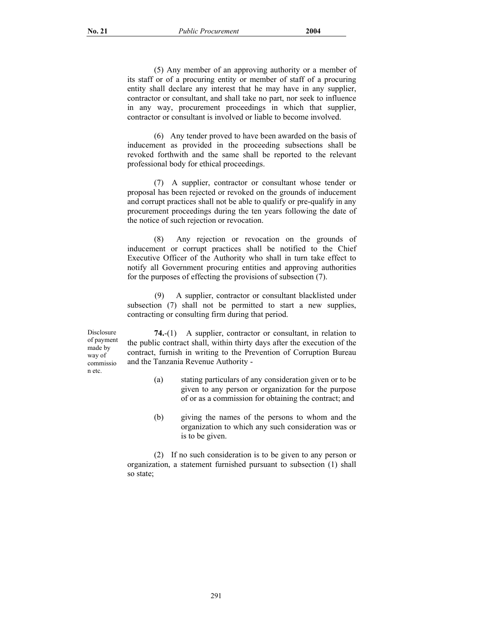(5) Any member of an approving authority or a member of its staff or of a procuring entity or member of staff of a procuring entity shall declare any interest that he may have in any supplier, contractor or consultant, and shall take no part, nor seek to influence in any way, procurement proceedings in which that supplier, contractor or consultant is involved or liable to become involved.

 (6) Any tender proved to have been awarded on the basis of inducement as provided in the proceeding subsections shall be revoked forthwith and the same shall be reported to the relevant professional body for ethical proceedings.

 (7) A supplier, contractor or consultant whose tender or proposal has been rejected or revoked on the grounds of inducement and corrupt practices shall not be able to qualify or pre-qualify in any procurement proceedings during the ten years following the date of the notice of such rejection or revocation.

 (8) Any rejection or revocation on the grounds of inducement or corrupt practices shall be notified to the Chief Executive Officer of the Authority who shall in turn take effect to notify all Government procuring entities and approving authorities for the purposes of effecting the provisions of subsection (7).

(9) A supplier, contractor or consultant blacklisted under subsection (7) shall not be permitted to start a new supplies, contracting or consulting firm during that period.

Disclosure of payment made by way of commissio n etc.

**74.**-(1) A supplier, contractor or consultant, in relation to the public contract shall, within thirty days after the execution of the contract, furnish in writing to the Prevention of Corruption Bureau and the Tanzania Revenue Authority -

- (a) stating particulars of any consideration given or to be given to any person or organization for the purpose of or as a commission for obtaining the contract; and
- (b) giving the names of the persons to whom and the organization to which any such consideration was or is to be given.

 (2) If no such consideration is to be given to any person or organization, a statement furnished pursuant to subsection (1) shall so state;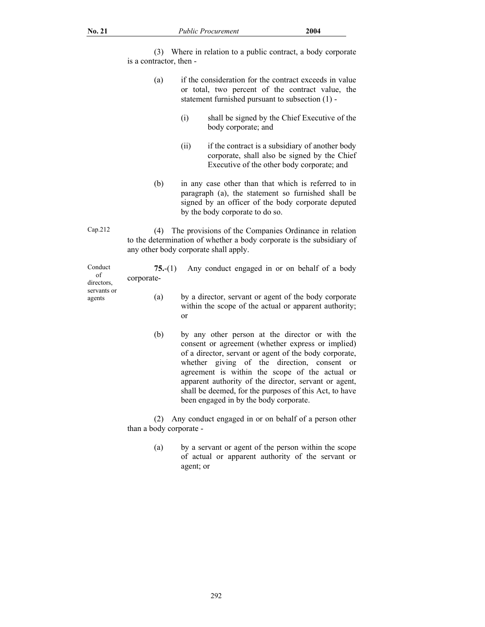| No. 21                                               |                                | <b>Public Procurement</b>                                                                                                                                               | 2004                                                                                                                                                                                                                                                                                                                                                                               |
|------------------------------------------------------|--------------------------------|-------------------------------------------------------------------------------------------------------------------------------------------------------------------------|------------------------------------------------------------------------------------------------------------------------------------------------------------------------------------------------------------------------------------------------------------------------------------------------------------------------------------------------------------------------------------|
|                                                      | (3)<br>is a contractor, then - |                                                                                                                                                                         | Where in relation to a public contract, a body corporate                                                                                                                                                                                                                                                                                                                           |
|                                                      | (a)                            |                                                                                                                                                                         | if the consideration for the contract exceeds in value<br>or total, two percent of the contract value, the<br>statement furnished pursuant to subsection (1) -                                                                                                                                                                                                                     |
|                                                      |                                | (i)<br>body corporate; and                                                                                                                                              | shall be signed by the Chief Executive of the                                                                                                                                                                                                                                                                                                                                      |
|                                                      |                                | (ii)                                                                                                                                                                    | if the contract is a subsidiary of another body<br>corporate, shall also be signed by the Chief<br>Executive of the other body corporate; and                                                                                                                                                                                                                                      |
|                                                      | (b)                            | by the body corporate to do so.                                                                                                                                         | in any case other than that which is referred to in<br>paragraph (a), the statement so furnished shall be<br>signed by an officer of the body corporate deputed                                                                                                                                                                                                                    |
| Cap.212                                              | (4)                            | The provisions of the Companies Ordinance in relation<br>to the determination of whether a body corporate is the subsidiary of<br>any other body corporate shall apply. |                                                                                                                                                                                                                                                                                                                                                                                    |
| Conduct<br>of<br>directors,<br>servants or<br>agents | $75-(1)$<br>corporate-         |                                                                                                                                                                         | Any conduct engaged in or on behalf of a body                                                                                                                                                                                                                                                                                                                                      |
|                                                      | (a)                            | or                                                                                                                                                                      | by a director, servant or agent of the body corporate<br>within the scope of the actual or apparent authority;                                                                                                                                                                                                                                                                     |
|                                                      | (b)                            | been engaged in by the body corporate.                                                                                                                                  | by any other person at the director or with the<br>consent or agreement (whether express or implied)<br>of a director, servant or agent of the body corporate,<br>whether giving of the direction, consent or<br>agreement is within the scope of the actual or<br>apparent authority of the director, servant or agent,<br>shall be deemed, for the purposes of this Act, to have |
|                                                      | (2)<br>than a body corporate - |                                                                                                                                                                         | Any conduct engaged in or on behalf of a person other                                                                                                                                                                                                                                                                                                                              |

(a) by a servant or agent of the person within the scope of actual or apparent authority of the servant or agent; or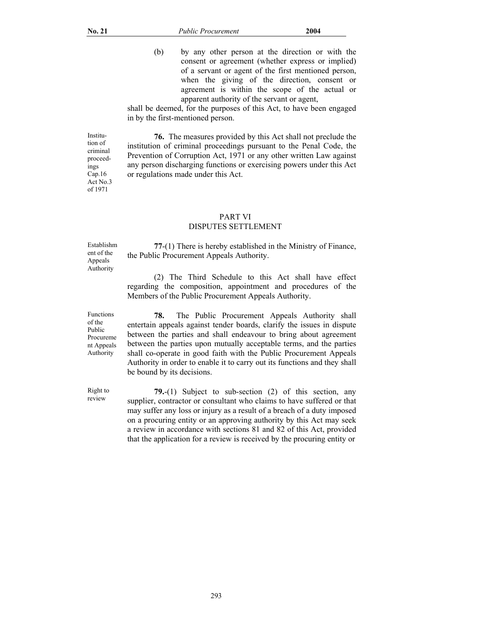Institution of criminal proceedings  $Cap.16$ Act No.3 of 1971

(b) by any other person at the direction or with the consent or agreement (whether express or implied) of a servant or agent of the first mentioned person, when the giving of the direction, consent or agreement is within the scope of the actual or apparent authority of the servant or agent,

shall be deemed, for the purposes of this Act, to have been engaged in by the first-mentioned person.

**76.** The measures provided by this Act shall not preclude the institution of criminal proceedings pursuant to the Penal Code, the Prevention of Corruption Act, 1971 or any other written Law against any person discharging functions or exercising powers under this Act or regulations made under this Act.

# PART VI DISPUTES SETTLEMENT

Establishm ent of the Appeals Authority

**77**-(1) There is hereby established in the Ministry of Finance, the Public Procurement Appeals Authority.

 (2) The Third Schedule to this Act shall have effect regarding the composition, appointment and procedures of the Members of the Public Procurement Appeals Authority.

Functions of the Public Procureme nt Appeals Authority

review

**78.** The Public Procurement Appeals Authority shall entertain appeals against tender boards, clarify the issues in dispute between the parties and shall endeavour to bring about agreement between the parties upon mutually acceptable terms, and the parties shall co-operate in good faith with the Public Procurement Appeals Authority in order to enable it to carry out its functions and they shall be bound by its decisions.

 Right to **79.**-(1) Subject to sub-section (2) of this section, any supplier, contractor or consultant who claims to have suffered or that may suffer any loss or injury as a result of a breach of a duty imposed on a procuring entity or an approving authority by this Act may seek a review in accordance with sections 81 and 82 of this Act, provided that the application for a review is received by the procuring entity or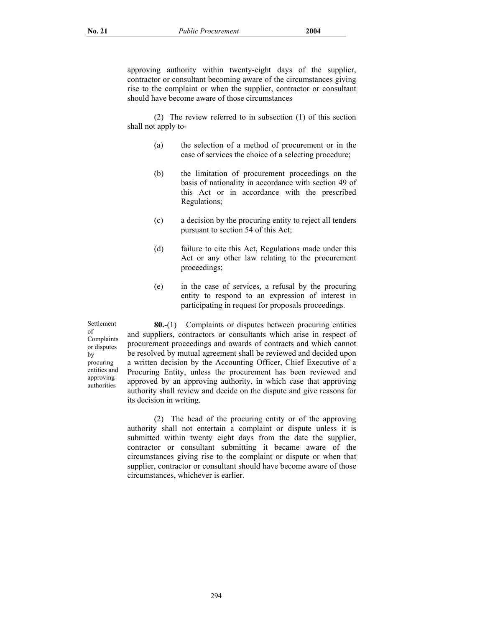approving authority within twenty-eight days of the supplier, contractor or consultant becoming aware of the circumstances giving rise to the complaint or when the supplier, contractor or consultant should have become aware of those circumstances

 (2) The review referred to in subsection (1) of this section shall not apply to-

- (a) the selection of a method of procurement or in the case of services the choice of a selecting procedure;
- (b) the limitation of procurement proceedings on the basis of nationality in accordance with section 49 of this Act or in accordance with the prescribed Regulations;
- (c) a decision by the procuring entity to reject all tenders pursuant to section 54 of this Act;
- (d) failure to cite this Act, Regulations made under this Act or any other law relating to the procurement proceedings;
- (e) in the case of services, a refusal by the procuring entity to respond to an expression of interest in participating in request for proposals proceedings.

Settlement of Complaints or disputes by procuring entities and approving authorities

**80.**-(1) Complaints or disputes between procuring entities and suppliers, contractors or consultants which arise in respect of procurement proceedings and awards of contracts and which cannot be resolved by mutual agreement shall be reviewed and decided upon a written decision by the Accounting Officer, Chief Executive of a Procuring Entity, unless the procurement has been reviewed and approved by an approving authority, in which case that approving authority shall review and decide on the dispute and give reasons for its decision in writing.

 (2) The head of the procuring entity or of the approving authority shall not entertain a complaint or dispute unless it is submitted within twenty eight days from the date the supplier, contractor or consultant submitting it became aware of the circumstances giving rise to the complaint or dispute or when that supplier, contractor or consultant should have become aware of those circumstances, whichever is earlier.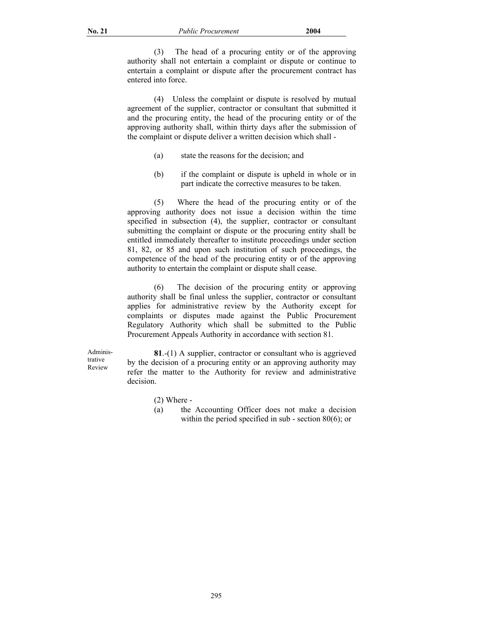(3) The head of a procuring entity or of the approving authority shall not entertain a complaint or dispute or continue to entertain a complaint or dispute after the procurement contract has entered into force.

 (4) Unless the complaint or dispute is resolved by mutual agreement of the supplier, contractor or consultant that submitted it and the procuring entity, the head of the procuring entity or of the approving authority shall, within thirty days after the submission of the complaint or dispute deliver a written decision which shall -

- (a) state the reasons for the decision; and
- (b) if the complaint or dispute is upheld in whole or in part indicate the corrective measures to be taken.

 (5) Where the head of the procuring entity or of the approving authority does not issue a decision within the time specified in subsection (4), the supplier, contractor or consultant submitting the complaint or dispute or the procuring entity shall be entitled immediately thereafter to institute proceedings under section 81, 82, or 85 and upon such institution of such proceedings, the competence of the head of the procuring entity or of the approving authority to entertain the complaint or dispute shall cease.

 (6) The decision of the procuring entity or approving authority shall be final unless the supplier, contractor or consultant applies for administrative review by the Authority except for complaints or disputes made against the Public Procurement Regulatory Authority which shall be submitted to the Public Procurement Appeals Authority in accordance with section 81.

 Administrative Review

**81**.-(1) A supplier, contractor or consultant who is aggrieved by the decision of a procuring entity or an approving authority may refer the matter to the Authority for review and administrative decision.

- (2) Where -
- (a) the Accounting Officer does not make a decision within the period specified in sub - section 80(6); or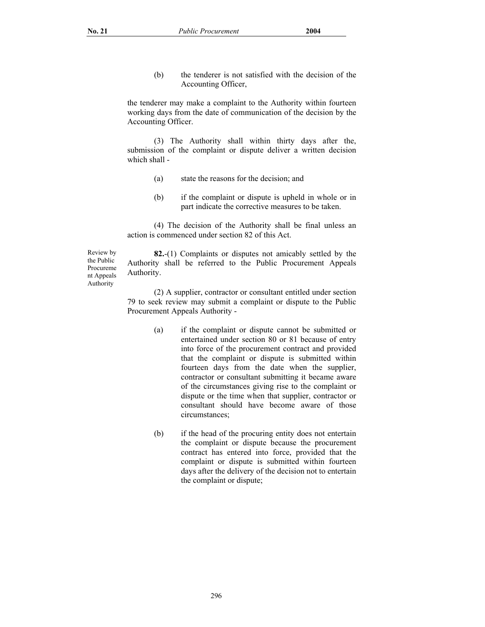(b) the tenderer is not satisfied with the decision of the Accounting Officer,

the tenderer may make a complaint to the Authority within fourteen working days from the date of communication of the decision by the Accounting Officer.

 (3) The Authority shall within thirty days after the, submission of the complaint or dispute deliver a written decision which shall -

- (a) state the reasons for the decision; and
- (b) if the complaint or dispute is upheld in whole or in part indicate the corrective measures to be taken.

 (4) The decision of the Authority shall be final unless an action is commenced under section 82 of this Act.

 Review by the Public Procureme nt Appeals Authority

**82.**-(1) Complaints or disputes not amicably settled by the Authority shall be referred to the Public Procurement Appeals Authority.

 (2) A supplier, contractor or consultant entitled under section 79 to seek review may submit a complaint or dispute to the Public Procurement Appeals Authority -

- (a) if the complaint or dispute cannot be submitted or entertained under section 80 or 81 because of entry into force of the procurement contract and provided that the complaint or dispute is submitted within fourteen days from the date when the supplier, contractor or consultant submitting it became aware of the circumstances giving rise to the complaint or dispute or the time when that supplier, contractor or consultant should have become aware of those circumstances;
- (b) if the head of the procuring entity does not entertain the complaint or dispute because the procurement contract has entered into force, provided that the complaint or dispute is submitted within fourteen days after the delivery of the decision not to entertain the complaint or dispute;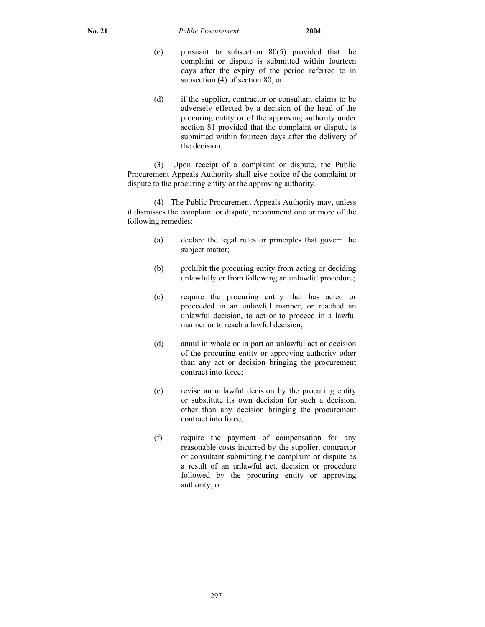- (c) pursuant to subsection 80(5) provided that the complaint or dispute is submitted within fourteen days after the expiry of the period referred to in subsection (4) of section 80, or
- (d) if the supplier, contractor or consultant claims to be adversely effected by a decision of the head of the procuring entity or of the approving authority under section 81 provided that the complaint or dispute is submitted within fourteen days after the delivery of the decision.

 (3) Upon receipt of a complaint or dispute, the Public Procurement Appeals Authority shall give notice of the complaint or dispute to the procuring entity or the approving authority.

 (4) The Public Procurement Appeals Authority may, unless it dismisses the complaint or dispute, recommend one or more of the following remedies:

- (a) declare the legal rules or principles that govern the subject matter;
- (b) prohibit the procuring entity from acting or deciding unlawfully or from following an unlawful procedure;
- (c) require the procuring entity that has acted or proceeded in an unlawful manner, or reached an unlawful decision, to act or to proceed in a lawful manner or to reach a lawful decision;
- (d) annul in whole or in part an unlawful act or decision of the procuring entity or approving authority other than any act or decision bringing the procurement contract into force;
- (e) revise an unlawful decision by the procuring entity or substitute its own decision for such a decision, other than any decision bringing the procurement contract into force;
- (f) require the payment of compensation for any reasonable costs incurred by the supplier, contractor or consultant submitting the complaint or dispute as a result of an unlawful act, decision or procedure followed by the procuring entity or approving authority; or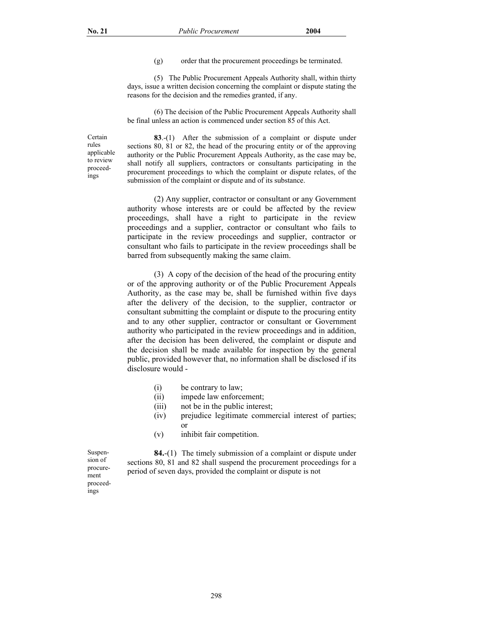(g) order that the procurement proceedings be terminated.

 (5) The Public Procurement Appeals Authority shall, within thirty days, issue a written decision concerning the complaint or dispute stating the reasons for the decision and the remedies granted, if any.

 (6) The decision of the Public Procurement Appeals Authority shall be final unless an action is commenced under section 85 of this Act.

Certain rules applicable to review proceedings

**83**.-(1)After the submission of a complaint or dispute under sections 80, 81 or 82, the head of the procuring entity or of the approving authority or the Public Procurement Appeals Authority, as the case may be, shall notify all suppliers, contractors or consultants participating in the procurement proceedings to which the complaint or dispute relates, of the submission of the complaint or dispute and of its substance.

 (2) Any supplier, contractor or consultant or any Government authority whose interests are or could be affected by the review proceedings, shall have a right to participate in the review proceedings and a supplier, contractor or consultant who fails to participate in the review proceedings and supplier, contractor or consultant who fails to participate in the review proceedings shall be barred from subsequently making the same claim.

 (3) A copy of the decision of the head of the procuring entity or of the approving authority or of the Public Procurement Appeals Authority, as the case may be, shall be furnished within five days after the delivery of the decision, to the supplier, contractor or consultant submitting the complaint or dispute to the procuring entity and to any other supplier, contractor or consultant or Government authority who participated in the review proceedings and in addition, after the decision has been delivered, the complaint or dispute and the decision shall be made available for inspection by the general public, provided however that, no information shall be disclosed if its disclosure would -

- (i) be contrary to law;
- (ii) impede law enforcement;
- (iii) not be in the public interest;
- (iv) prejudice legitimate commercial interest of parties; or
- (v) inhibit fair competition.

Suspension of procurement proceedings

**84.**-(1) The timely submission of a complaint or dispute under sections 80, 81 and 82 shall suspend the procurement proceedings for a period of seven days, provided the complaint or dispute is not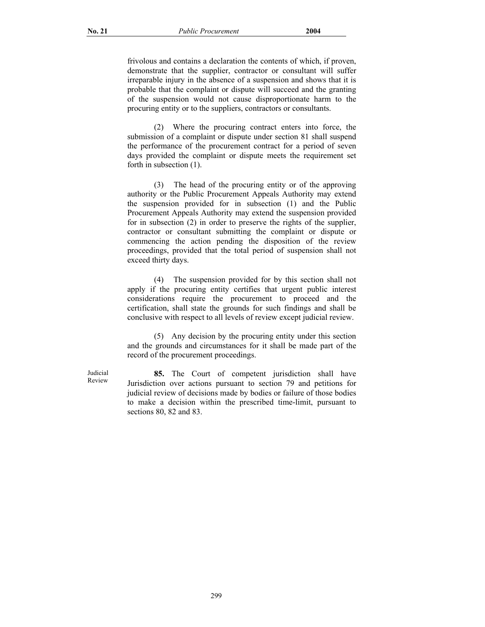frivolous and contains a declaration the contents of which, if proven, demonstrate that the supplier, contractor or consultant will suffer irreparable injury in the absence of a suspension and shows that it is probable that the complaint or dispute will succeed and the granting of the suspension would not cause disproportionate harm to the procuring entity or to the suppliers, contractors or consultants.

 (2) Where the procuring contract enters into force, the submission of a complaint or dispute under section 81 shall suspend the performance of the procurement contract for a period of seven days provided the complaint or dispute meets the requirement set forth in subsection (1).

 (3) The head of the procuring entity or of the approving authority or the Public Procurement Appeals Authority may extend the suspension provided for in subsection (1) and the Public Procurement Appeals Authority may extend the suspension provided for in subsection (2) in order to preserve the rights of the supplier, contractor or consultant submitting the complaint or dispute or commencing the action pending the disposition of the review proceedings, provided that the total period of suspension shall not exceed thirty days.

 (4) The suspension provided for by this section shall not apply if the procuring entity certifies that urgent public interest considerations require the procurement to proceed and the certification, shall state the grounds for such findings and shall be conclusive with respect to all levels of review except judicial review.

 (5) Any decision by the procuring entity under this section and the grounds and circumstances for it shall be made part of the record of the procurement proceedings.

**85.** The Court of competent jurisdiction shall have Jurisdiction over actions pursuant to section 79 and petitions for judicial review of decisions made by bodies or failure of those bodies to make a decision within the prescribed time-limit, pursuant to sections 80, 82 and 83.

Judicial Review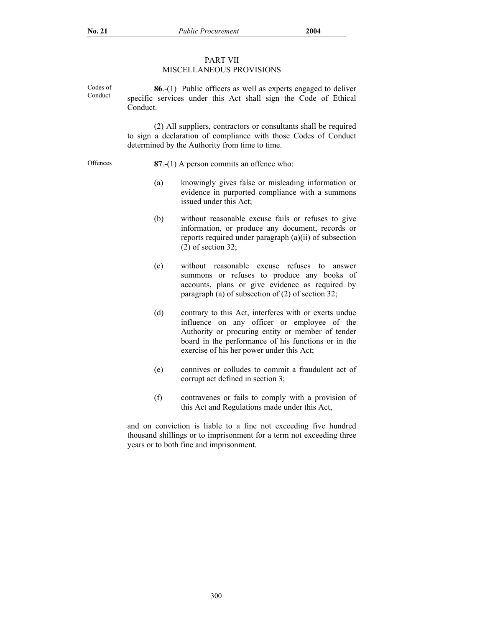# PART VII

# MISCELLANEOUS PROVISIONS

Codes of Conduct **86**.-(1) Public officers as well as experts engaged to deliver specific services under this Act shall sign the Code of Ethical Conduct.

> (2) All suppliers, contractors or consultants shall be required to sign a declaration of compliance with those Codes of Conduct determined by the Authority from time to time.

- Offences **87**.-(1) A person commits an offence who:
	- (a) knowingly gives false or misleading information or evidence in purported compliance with a summons issued under this Act;
	- (b) without reasonable excuse fails or refuses to give information, or produce any document, records or reports required under paragraph (a)(ii) of subsection (2) of section 32;
	- (c) without reasonable excuse refuses to answer summons or refuses to produce any books of accounts, plans or give evidence as required by paragraph (a) of subsection of (2) of section 32;
	- (d) contrary to this Act, interferes with or exerts undue influence on any officer or employee of the Authority or procuring entity or member of tender board in the performance of his functions or in the exercise of his her power under this Act;
	- (e) connives or colludes to commit a fraudulent act of corrupt act defined in section 3;
	- (f) contravenes or fails to comply with a provision of this Act and Regulations made under this Act,

and on conviction is liable to a fine not exceeding five hundred thousand shillings or to imprisonment for a term not exceeding three years or to both fine and imprisonment.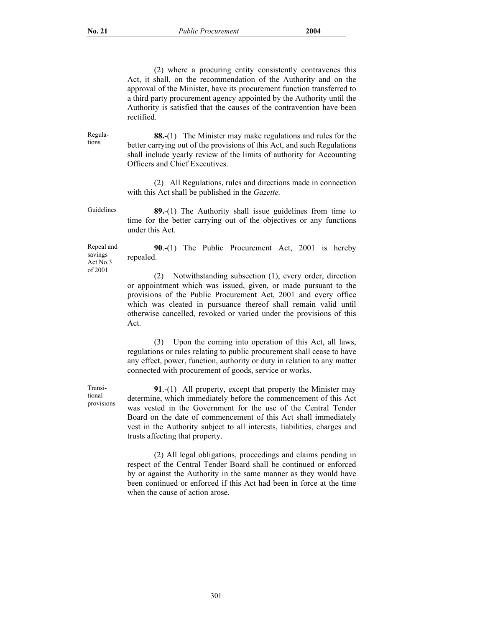Regulations

 (2) where a procuring entity consistently contravenes this Act, it shall, on the recommendation of the Authority and on the approval of the Minister, have its procurement function transferred to a third party procurement agency appointed by the Authority until the Authority is satisfied that the causes of the contravention have been rectified.

**88.**-(1) The Minister may make regulations and rules for the better carrying out of the provisions of this Act, and such Regulations shall include yearly review of the limits of authority for Accounting Officers and Chief Executives.

 (2) All Regulations, rules and directions made in connection with this Act shall be published in the *Gazette.*

Guidelines **89.**-(1) The Authority shall issue guidelines from time to time for the better carrying out of the objectives or any functions under this Act.

Repeal and savings Act No.3 of 2001

**90**.-(1) The Public Procurement Act, 2001 is hereby repealed.

(2) Notwithstanding subsection (1), every order, direction or appointment which was issued, given, or made pursuant to the provisions of the Public Procurement Act, 2001 and every office which was cleated in pursuance thereof shall remain valid until otherwise cancelled, revoked or varied under the provisions of this Act.

 (3) Upon the coming into operation of this Act, all laws, regulations or rules relating to public procurement shall cease to have any effect, power, function, authority or duty in relation to any matter connected with procurement of goods, service or works.

**91**.-(1)All property, except that property the Minister may determine, which immediately before the commencement of this Act was vested in the Government for the use of the Central Tender Board on the date of commencement of this Act shall immediately vest in the Authority subject to all interests, liabilities, charges and trusts affecting that property.

 (2) All legal obligations, proceedings and claims pending in respect of the Central Tender Board shall be continued or enforced by or against the Authority in the same manner as they would have been continued or enforced if this Act had been in force at the time when the cause of action arose.

Transitional provisions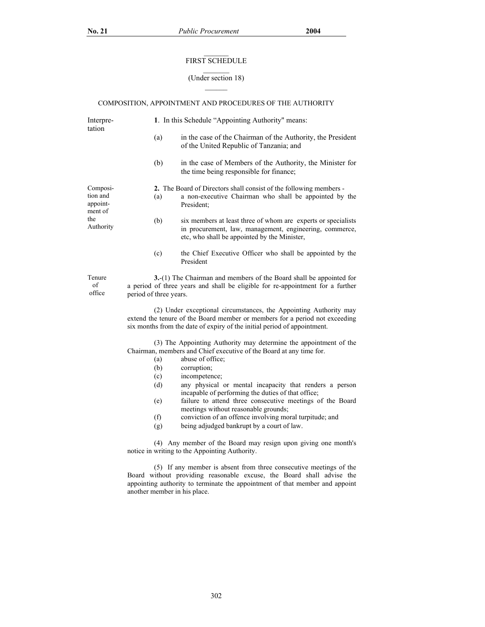## $\mathcal{L}=\mathcal{L}$ FIRST SCHEDULE

#### (Under section 18)

 $\overline{\phantom{a}}$ 

# COMPOSITION, APPOINTMENT AND PROCEDURES OF THE AUTHORITY

| Interpre-<br>tation                                 | 1. In this Schedule "Appointing Authority" means:                                                                                                                                                                                                           |                                                                                                                                                                          |  |  |
|-----------------------------------------------------|-------------------------------------------------------------------------------------------------------------------------------------------------------------------------------------------------------------------------------------------------------------|--------------------------------------------------------------------------------------------------------------------------------------------------------------------------|--|--|
|                                                     | (a)                                                                                                                                                                                                                                                         | in the case of the Chairman of the Authority, the President<br>of the United Republic of Tanzania; and                                                                   |  |  |
|                                                     | (b)                                                                                                                                                                                                                                                         | in the case of Members of the Authority, the Minister for<br>the time being responsible for finance;                                                                     |  |  |
| Composi-                                            | 2. The Board of Directors shall consist of the following members -                                                                                                                                                                                          |                                                                                                                                                                          |  |  |
| tion and<br>appoint-<br>ment of<br>the<br>Authority | (a)                                                                                                                                                                                                                                                         | a non-executive Chairman who shall be appointed by the<br>President:                                                                                                     |  |  |
|                                                     | (b)                                                                                                                                                                                                                                                         | six members at least three of whom are experts or specialists<br>in procurement, law, management, engineering, commerce,<br>etc, who shall be appointed by the Minister, |  |  |
|                                                     | (c)                                                                                                                                                                                                                                                         | the Chief Executive Officer who shall be appointed by the<br>President                                                                                                   |  |  |
| Tenure<br>of<br>office                              | 3.-(1) The Chairman and members of the Board shall be appointed for<br>a period of three years and shall be eligible for re-appointment for a further<br>period of three years.                                                                             |                                                                                                                                                                          |  |  |
|                                                     | (2) Under exceptional circumstances, the Appointing Authority may<br>extend the tenure of the Board member or members for a period not exceeding<br>six months from the date of expiry of the initial period of appointment.                                |                                                                                                                                                                          |  |  |
|                                                     | (3) The Appointing Authority may determine the appointment of the<br>Chairman, members and Chief executive of the Board at any time for.<br>abuse of office;<br>(a)                                                                                         |                                                                                                                                                                          |  |  |
|                                                     | (b)                                                                                                                                                                                                                                                         | corruption;                                                                                                                                                              |  |  |
|                                                     | (c)<br>(d)                                                                                                                                                                                                                                                  | incompetence;<br>any physical or mental incapacity that renders a person<br>incapable of performing the duties of that office;                                           |  |  |
|                                                     | (e)                                                                                                                                                                                                                                                         | failure to attend three consecutive meetings of the Board<br>meetings without reasonable grounds;                                                                        |  |  |
|                                                     | (f)<br>(g)                                                                                                                                                                                                                                                  | conviction of an offence involving moral turpitude; and<br>being adjudged bankrupt by a court of law.                                                                    |  |  |
|                                                     | (4) Any member of the Board may resign upon giving one month's<br>notice in writing to the Appointing Authority.                                                                                                                                            |                                                                                                                                                                          |  |  |
|                                                     | (5) If any member is absent from three consecutive meetings of the<br>Board without providing reasonable excuse, the Board shall advise the<br>appointing authority to terminate the appointment of that member and appoint<br>another member in his place. |                                                                                                                                                                          |  |  |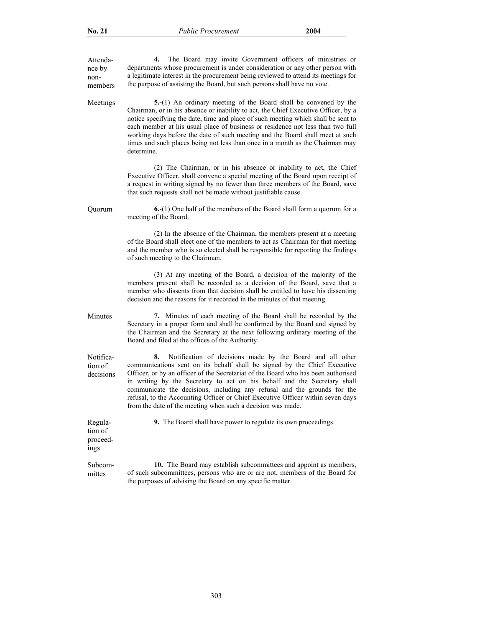| Attenda-<br>nce by<br>non-<br>members  | The Board may invite Government officers of ministries or<br>4.<br>departments whose procurement is under consideration or any other person with<br>a legitimate interest in the procurement being reviewed to attend its meetings for<br>the purpose of assisting the Board, but such persons shall have no vote.                                                                                                                                                                                                                         |
|----------------------------------------|--------------------------------------------------------------------------------------------------------------------------------------------------------------------------------------------------------------------------------------------------------------------------------------------------------------------------------------------------------------------------------------------------------------------------------------------------------------------------------------------------------------------------------------------|
| Meetings                               | 5.-(1) An ordinary meeting of the Board shall be convened by the<br>Chairman, or in his absence or inability to act, the Chief Executive Officer, by a<br>notice specifying the date, time and place of such meeting which shall be sent to<br>each member at his usual place of business or residence not less than two full<br>working days before the date of such meeting and the Board shall meet at such<br>times and such places being not less than once in a month as the Chairman may<br>determine.                              |
|                                        | (2) The Chairman, or in his absence or inability to act, the Chief<br>Executive Officer, shall convene a special meeting of the Board upon receipt of<br>a request in writing signed by no fewer than three members of the Board, save<br>that such requests shall not be made without justifiable cause.                                                                                                                                                                                                                                  |
| Quorum                                 | $6-(1)$ One half of the members of the Board shall form a quorum for a<br>meeting of the Board.                                                                                                                                                                                                                                                                                                                                                                                                                                            |
|                                        | (2) In the absence of the Chairman, the members present at a meeting<br>of the Board shall elect one of the members to act as Chairman for that meeting<br>and the member who is so elected shall be responsible for reporting the findings<br>of such meeting to the Chairman.                                                                                                                                                                                                                                                            |
|                                        | (3) At any meeting of the Board, a decision of the majority of the<br>members present shall be recorded as a decision of the Board, save that a<br>member who dissents from that decision shall be entitled to have his dissenting<br>decision and the reasons for it recorded in the minutes of that meeting.                                                                                                                                                                                                                             |
| Minutes                                | 7. Minutes of each meeting of the Board shall be recorded by the<br>Secretary in a proper form and shall be confirmed by the Board and signed by<br>the Chairman and the Secretary at the next following ordinary meeting of the<br>Board and filed at the offices of the Authority.                                                                                                                                                                                                                                                       |
| Notifica-<br>tion of<br>decisions      | Notification of decisions made by the Board and all other<br>8.<br>communications sent on its behalf shall be signed by the Chief Executive<br>Officer, or by an officer of the Secretariat of the Board who has been authorised<br>in writing by the Secretary to act on his behalf and the Secretary shall<br>communicate the decisions, including any refusal and the grounds for the<br>refusal, to the Accounting Officer or Chief Executive Officer within seven days<br>from the date of the meeting when such a decision was made. |
| Regula-<br>tion of<br>proceed-<br>ings | <b>9.</b> The Board shall have power to regulate its own proceedings.                                                                                                                                                                                                                                                                                                                                                                                                                                                                      |
| Subcom-<br>mittes                      | 10. The Board may establish subcommittees and appoint as members,<br>of such subcommittees, persons who are or are not, members of the Board for<br>the purposes of advising the Board on any specific matter.                                                                                                                                                                                                                                                                                                                             |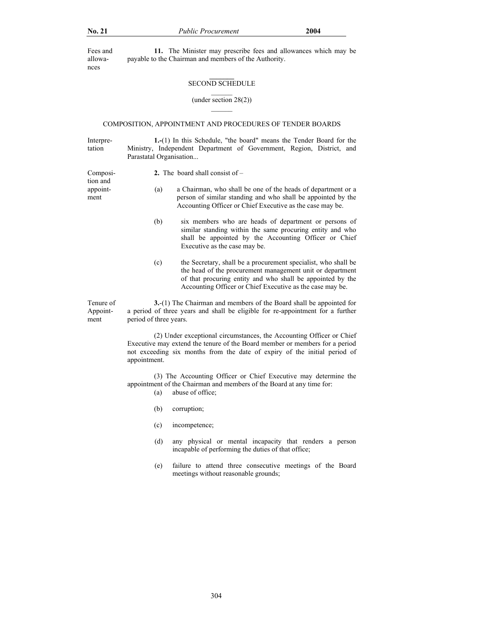Fees and allowances

appointment

**11.** The Minister may prescribe fees and allowances which may be payable to the Chairman and members of the Authority.

#### **\_\_\_\_\_\_\_**  SECOND SCHEDULE  $\overline{\phantom{a}}$

(under section 28(2))

### COMPOSITION, APPOINTMENT AND PROCEDURES OF TENDER BOARDS

Interpretation **1.-**(1) In this Schedule, "the board" means the Tender Board for the Ministry, Independent Department of Government, Region, District, and Parastatal Organisation...

Composition and **2.** The board shall consist of –

- (a) a Chairman, who shall be one of the heads of department or a person of similar standing and who shall be appointed by the Accounting Officer or Chief Executive as the case may be.
	- (b) six members who are heads of department or persons of similar standing within the same procuring entity and who shall be appointed by the Accounting Officer or Chief Executive as the case may be.
	- (c) the Secretary, shall be a procurement specialist, who shall be the head of the procurement management unit or department of that procuring entity and who shall be appointed by the Accounting Officer or Chief Executive as the case may be.

Tenure of Appointment **3.**-(1) The Chairman and members of the Board shall be appointed for a period of three years and shall be eligible for re-appointment for a further period of three years.

> (2) Under exceptional circumstances, the Accounting Officer or Chief Executive may extend the tenure of the Board member or members for a period not exceeding six months from the date of expiry of the initial period of appointment.

> (3) The Accounting Officer or Chief Executive may determine the appointment of the Chairman and members of the Board at any time for:

- (a) abuse of office;
- (b) corruption;
- (c) incompetence;
- (d) any physical or mental incapacity that renders a person incapable of performing the duties of that office;
- (e) failure to attend three consecutive meetings of the Board meetings without reasonable grounds;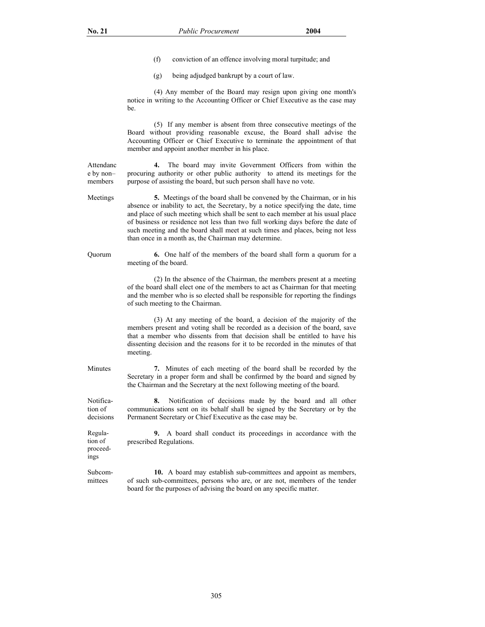ings

- (f) conviction of an offence involving moral turpitude; and
- (g) being adjudged bankrupt by a court of law.

 (4) Any member of the Board may resign upon giving one month's notice in writing to the Accounting Officer or Chief Executive as the case may be.

 (5) If any member is absent from three consecutive meetings of the Board without providing reasonable excuse, the Board shall advise the Accounting Officer or Chief Executive to terminate the appointment of that member and appoint another member in his place.

Attendanc e by non– members **4.** The board may invite Government Officers from within the procuring authority or other public authority to attend its meetings for the purpose of assisting the board, but such person shall have no vote.

Meetings **5.** Meetings of the board shall be convened by the Chairman, or in his absence or inability to act, the Secretary, by a notice specifying the date, time and place of such meeting which shall be sent to each member at his usual place of business or residence not less than two full working days before the date of such meeting and the board shall meet at such times and places, being not less than once in a month as, the Chairman may determine.

Quorum **6.** One half of the members of the board shall form a quorum for a meeting of the board.

> (2) In the absence of the Chairman, the members present at a meeting of the board shall elect one of the members to act as Chairman for that meeting and the member who is so elected shall be responsible for reporting the findings of such meeting to the Chairman.

> (3) At any meeting of the board, a decision of the majority of the members present and voting shall be recorded as a decision of the board, save that a member who dissents from that decision shall be entitled to have his dissenting decision and the reasons for it to be recorded in the minutes of that meeting.

Minutes **7.** Minutes of each meeting of the board shall be recorded by the Secretary in a proper form and shall be confirmed by the board and signed by the Chairman and the Secretary at the next following meeting of the board.

Notification of decisions **8.** Notification of decisions made by the board and all other communications sent on its behalf shall be signed by the Secretary or by the Permanent Secretary or Chief Executive as the case may be.

Regulation of proceed-**9.** A board shall conduct its proceedings in accordance with the prescribed Regulations.

Subcommittees **10.** A board may establish sub-committees and appoint as members, of such sub-committees, persons who are, or are not, members of the tender board for the purposes of advising the board on any specific matter.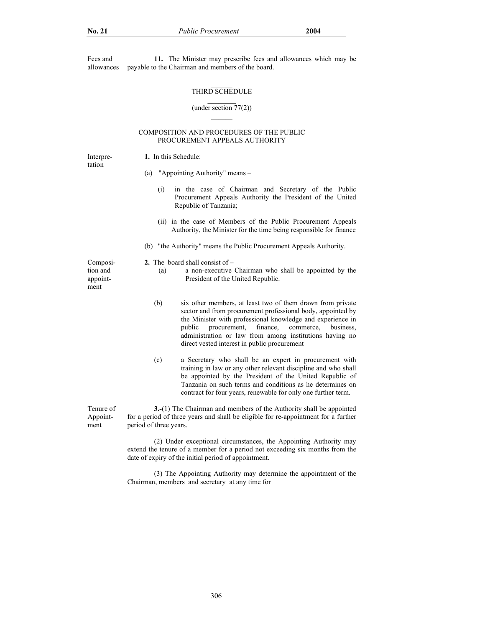Fees and allowances **11.** The Minister may prescribe fees and allowances which may be payable to the Chairman and members of the board.

## THIRD SCHEDULE

#### (under section 77(2))  $\mathcal{L}_\text{max}$

### COMPOSITION AND PROCEDURES OF THE PUBLIC PROCUREMENT APPEALS AUTHORITY

Interpretation

# **1.** In this Schedule:

- (a) "Appointing Authority" means
	- (i) in the case of Chairman and Secretary of the Public Procurement Appeals Authority the President of the United Republic of Tanzania;
	- (ii) in the case of Members of the Public Procurement Appeals Authority, the Minister for the time being responsible for finance
- (b) "the Authority" means the Public Procurement Appeals Authority.

**2.** The board shall consist of –

Composition and appointment

Tenure of Appointment

(a) a non-executive Chairman who shall be appointed by the

President of the United Republic.

- (b) six other members, at least two of them drawn from private sector and from procurement professional body, appointed by the Minister with professional knowledge and experience in public procurement, finance, commerce, business, administration or law from among institutions having no direct vested interest in public procurement
- (c) a Secretary who shall be an expert in procurement with training in law or any other relevant discipline and who shall be appointed by the President of the United Republic of Tanzania on such terms and conditions as he determines on contract for four years, renewable for only one further term.

**3.-**(1) The Chairman and members of the Authority shall be appointed for a period of three years and shall be eligible for re-appointment for a further period of three years.

 (2) Under exceptional circumstances, the Appointing Authority may extend the tenure of a member for a period not exceeding six months from the date of expiry of the initial period of appointment.

 (3) The Appointing Authority may determine the appointment of the Chairman, members and secretary at any time for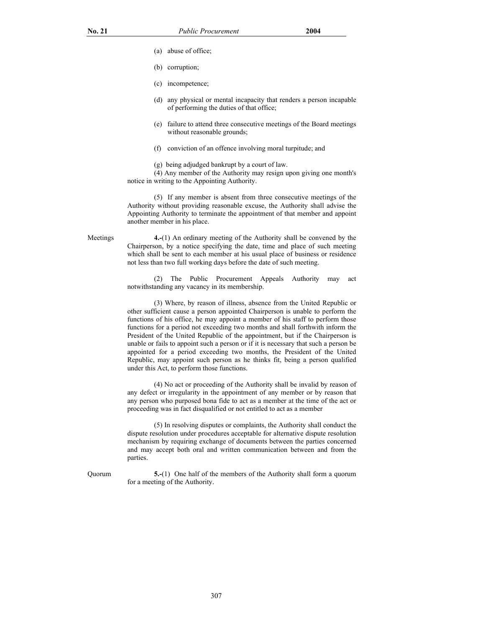- (a) abuse of office;
- (b) corruption;
- (c) incompetence;
- (d) any physical or mental incapacity that renders a person incapable of performing the duties of that office;
- (e) failure to attend three consecutive meetings of the Board meetings without reasonable grounds;
- (f) conviction of an offence involving moral turpitude; and
- (g) being adjudged bankrupt by a court of law.

 (4) Any member of the Authority may resign upon giving one month's notice in writing to the Appointing Authority.

 (5) If any member is absent from three consecutive meetings of the Authority without providing reasonable excuse, the Authority shall advise the Appointing Authority to terminate the appointment of that member and appoint another member in his place.

Meetings **4.-**(1) An ordinary meeting of the Authority shall be convened by the Chairperson, by a notice specifying the date, time and place of such meeting which shall be sent to each member at his usual place of business or residence not less than two full working days before the date of such meeting.

> (2) The Public Procurement Appeals Authority may act notwithstanding any vacancy in its membership.

> (3) Where, by reason of illness, absence from the United Republic or other sufficient cause a person appointed Chairperson is unable to perform the functions of his office, he may appoint a member of his staff to perform those functions for a period not exceeding two months and shall forthwith inform the President of the United Republic of the appointment, but if the Chairperson is unable or fails to appoint such a person or if it is necessary that such a person be appointed for a period exceeding two months, the President of the United Republic, may appoint such person as he thinks fit, being a person qualified under this Act, to perform those functions.

> (4) No act or proceeding of the Authority shall be invalid by reason of any defect or irregularity in the appointment of any member or by reason that any person who purposed bona fide to act as a member at the time of the act or proceeding was in fact disqualified or not entitled to act as a member

> (5) In resolving disputes or complaints, the Authority shall conduct the dispute resolution under procedures acceptable for alternative dispute resolution mechanism by requiring exchange of documents between the parties concerned and may accept both oral and written communication between and from the parties.

Quorum **5.-**(1) One half of the members of the Authority shall form a quorum for a meeting of the Authority.